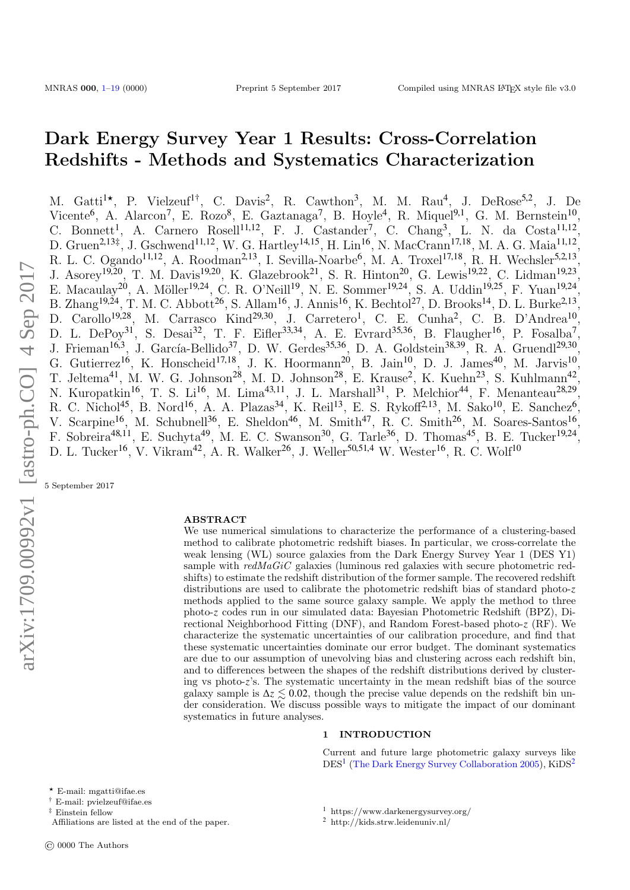# Dark Energy Survey Year 1 Results: Cross-Correlation Redshifts - Methods and Systematics Characterization

M. Gatti<sup>1\*</sup>, P. Vielzeuf<sup>1†</sup>, C. Davis<sup>2</sup>, R. Cawthon<sup>3</sup>, M. M. Rau<sup>4</sup>, J. DeRose<sup>5,2</sup>, J. De Vicente<sup>6</sup>, A. Alarcon<sup>7</sup>, E. Rozo<sup>8</sup>, E. Gaztanaga<sup>7</sup>, B. Hoyle<sup>4</sup>, R. Miquel<sup>9,1</sup>, G. M. Bernstein<sup>10</sup>, C. Bonnett<sup>1</sup>, A. Carnero Rosell<sup>11,12</sup>, F. J. Castander<sup>7</sup>, C. Chang<sup>3</sup>, L. N. da Costa<sup>11,12</sup>, D. Gruen<sup>2,13‡</sup>, J. Gschwend<sup>11,12</sup>, W. G. Hartley<sup>14,15</sup>, H. Lin<sup>16</sup>, N. MacCrann<sup>17,18</sup>, M. A. G. Maia<sup>11,12</sup>, R. L. C. Ogando<sup>11,12</sup>, A. Roodman<sup>2,13</sup>, I. Sevilla-Noarbe<sup>6</sup>, M. A. Troxel<sup>17,18</sup>, R. H. Wechsler<sup>5,2,13</sup>, J. Asorey<sup>19,20</sup>, T. M. Davis<sup>19,20</sup>, K. Glazebrook<sup>21</sup>, S. R. Hinton<sup>20</sup>, G. Lewis<sup>19,22</sup>, C. Lidman<sup>19,23</sup>, E. Macaulay<sup>20</sup>, A. Möller<sup>19,24</sup>, C. R. O'Neill<sup>19</sup>, N. E. Sommer<sup>19,24</sup>, S. A. Uddin<sup>19,25</sup>, F. Yuan<sup>19,24</sup>, B. Zhang<sup>19,24</sup>, T. M. C. Abbott<sup>26</sup>, S. Allam<sup>16</sup>, J. Annis<sup>16</sup>, K. Bechtol<sup>27</sup>, D. Brooks<sup>14</sup>, D. L. Burke<sup>2,13</sup>, D. Carollo<sup>19,28</sup>, M. Carrasco Kind<sup>29,30</sup>, J. Carretero<sup>1</sup>, C. E. Cunha<sup>2</sup>, C. B. D'Andrea<sup>10</sup> , D. L. DePoy<sup>31</sup>, S. Desai<sup>32</sup>, T. F. Eifler<sup>33,34</sup>, A. E. Evrard<sup>35,36</sup>, B. Flaugher<sup>16</sup>, P. Fosalba<sup>7</sup>, J. Frieman<sup>16,3</sup>, J. García-Bellido<sup>37</sup>, D. W. Gerdes<sup>35,36</sup>, D. A. Goldstein<sup>38,39</sup>, R. A. Gruendl<sup>29,30</sup>, G. Gutierrez<sup>16</sup>, K. Honscheid<sup>17,18</sup>, J. K. Hoormann<sup>20</sup>, B. Jain<sup>10</sup>, D. J. James<sup>40</sup>, M. Jarvis<sup>10</sup>, T. Jeltema<sup>41</sup>, M. W. G. Johnson<sup>28</sup>, M. D. Johnson<sup>28</sup>, E. Krause<sup>2</sup>, K. Kuehn<sup>23</sup>, S. Kuhlmann<sup>42</sup> , N. Kuropatkin<sup>16</sup>, T. S. Li<sup>16</sup>, M. Lima<sup>43,11</sup>, J. L. Marshall<sup>31</sup>, P. Melchior<sup>44</sup>, F. Menanteau<sup>28,29</sup>, R. C. Nichol<sup>45</sup>, B. Nord<sup>16</sup>, A. A. Plazas<sup>34</sup>, K. Reil<sup>13</sup>, E. S. Rykoff<sup>2,13</sup>, M. Sako<sup>10</sup>, E. Sanchez<sup>6</sup>, V. Scarpine<sup>16</sup>, M. Schubnell<sup>36</sup>, E. Sheldon<sup>46</sup>, M. Smith<sup>47</sup>, R. C. Smith<sup>26</sup>, M. Soares-Santos<sup>16</sup>, F. Sobreira<sup>48,11</sup>, E. Suchyta<sup>49</sup>, M. E. C. Swanson<sup>30</sup>, G. Tarle<sup>36</sup>, D. Thomas<sup>45</sup>, B. E. Tucker<sup>19,24</sup>, D. L. Tucker<sup>16</sup>, V. Vikram<sup>42</sup>, A. R. Walker<sup>26</sup>, J. Weller<sup>50,51,4</sup> W. Wester<sup>16</sup>, R. C. Wolf<sup>10</sup>

5 September 2017

#### ABSTRACT

We use numerical simulations to characterize the performance of a clustering-based method to calibrate photometric redshift biases. In particular, we cross-correlate the weak lensing (WL) source galaxies from the Dark Energy Survey Year 1 (DES Y1) sample with redMaGiC galaxies (luminous red galaxies with secure photometric redshifts) to estimate the redshift distribution of the former sample. The recovered redshift distributions are used to calibrate the photometric redshift bias of standard photo-*z* methods applied to the same source galaxy sample. We apply the method to three photo-*z* codes run in our simulated data: Bayesian Photometric Redshift (BPZ), Directional Neighborhood Fitting (DNF), and Random Forest-based photo-*z* (RF). We characterize the systematic uncertainties of our calibration procedure, and find that these systematic uncertainties dominate our error budget. The dominant systematics are due to our assumption of unevolving bias and clustering across each redshift bin, and to differences between the shapes of the redshift distributions derived by clustering vs photo-*z*'s. The systematic uncertainty in the mean redshift bias of the source galaxy sample is  $\Delta z \lesssim 0.02$ , though the precise value depends on the redshift bin under consideration. We discuss possible ways to mitigate the impact of our dominant systematics in future analyses.

### 1 INTRODUCTION

Current and future large photometric galaxy surveys like DES<sup>1</sup> (The Dark Energy Survey Collaboration 2005), KiDS<sup>2</sup>

- <sup>1</sup> https://www.darkenergysurvey.org/
- <sup>2</sup> http://kids.strw.leidenuniv.nl/

<sup>?</sup> E-mail: mgatti@ifae.es

<sup>†</sup> E-mail: pvielzeuf@ifae.es

<sup>‡</sup> Einstein fellow

Affiliations are listed at the end of the paper.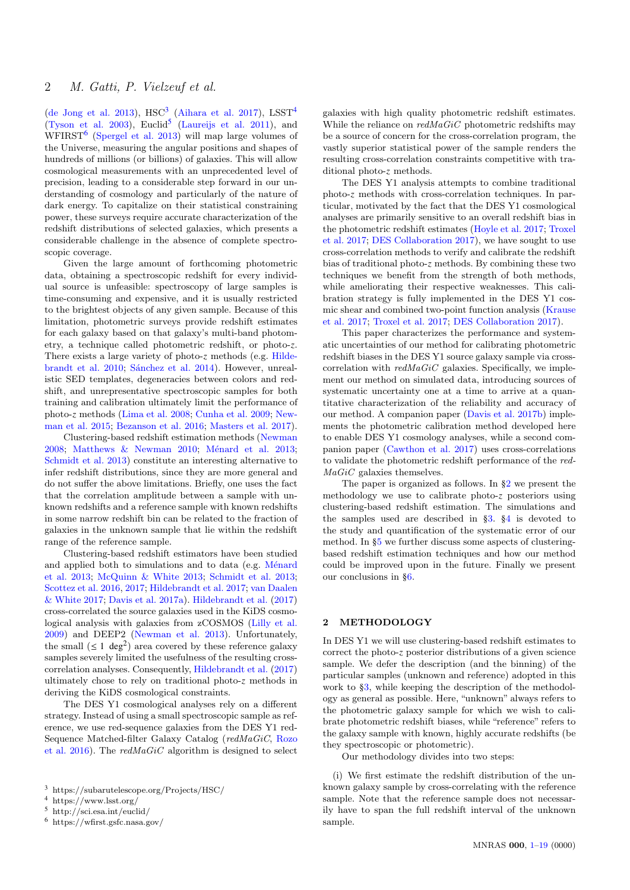(de Jong et al. 2013),  $HSC^3$  (Aihara et al. 2017),  $LSST^4$ (Tyson et al. 2003), Euclid<sup>5</sup> (Laureijs et al. 2011), and  $WFIRST<sup>6</sup>$  (Spergel et al. 2013) will map large volumes of the Universe, measuring the angular positions and shapes of hundreds of millions (or billions) of galaxies. This will allow cosmological measurements with an unprecedented level of precision, leading to a considerable step forward in our understanding of cosmology and particularly of the nature of dark energy. To capitalize on their statistical constraining power, these surveys require accurate characterization of the redshift distributions of selected galaxies, which presents a considerable challenge in the absence of complete spectroscopic coverage.

Given the large amount of forthcoming photometric data, obtaining a spectroscopic redshift for every individual source is unfeasible: spectroscopy of large samples is time-consuming and expensive, and it is usually restricted to the brightest objects of any given sample. Because of this limitation, photometric surveys provide redshift estimates for each galaxy based on that galaxy's multi-band photometry, a technique called photometric redshift, or photo-*z*. There exists a large variety of photo-*z* methods (e.g. Hildebrandt et al. 2010; Sánchez et al. 2014). However, unrealistic SED templates, degeneracies between colors and redshift, and unrepresentative spectroscopic samples for both training and calibration ultimately limit the performance of photo-*z* methods (Lima et al. 2008; Cunha et al. 2009; Newman et al. 2015; Bezanson et al. 2016; Masters et al. 2017).

Clustering-based redshift estimation methods (Newman 2008; Matthews  $\&$  Newman 2010; Ménard et al. 2013; Schmidt et al. 2013) constitute an interesting alternative to infer redshift distributions, since they are more general and do not suffer the above limitations. Briefly, one uses the fact that the correlation amplitude between a sample with unknown redshifts and a reference sample with known redshifts in some narrow redshift bin can be related to the fraction of galaxies in the unknown sample that lie within the redshift range of the reference sample.

Clustering-based redshift estimators have been studied and applied both to simulations and to data (e.g. Ménard et al. 2013; McQuinn & White 2013; Schmidt et al. 2013; Scottez et al. 2016, 2017; Hildebrandt et al. 2017; van Daalen & White 2017; Davis et al. 2017a). Hildebrandt et al. (2017) cross-correlated the source galaxies used in the KiDS cosmological analysis with galaxies from zCOSMOS (Lilly et al. 2009) and DEEP2 (Newman et al. 2013). Unfortunately, the small  $(\leq 1 \text{ deg}^2)$  area covered by these reference galaxy samples severely limited the usefulness of the resulting crosscorrelation analyses. Consequently, Hildebrandt et al. (2017) ultimately chose to rely on traditional photo-*z* methods in deriving the KiDS cosmological constraints.

The DES Y1 cosmological analyses rely on a different strategy. Instead of using a small spectroscopic sample as reference, we use red-sequence galaxies from the DES Y1 red-Sequence Matched-filter Galaxy Catalog (redMaGiC, Rozo et al. 2016). The  $redMaGiC$  algorithm is designed to select

galaxies with high quality photometric redshift estimates. While the reliance on  $redMaGiC$  photometric redshifts may be a source of concern for the cross-correlation program, the vastly superior statistical power of the sample renders the resulting cross-correlation constraints competitive with traditional photo-*z* methods.

The DES Y1 analysis attempts to combine traditional photo-*z* methods with cross-correlation techniques. In particular, motivated by the fact that the DES Y1 cosmological analyses are primarily sensitive to an overall redshift bias in the photometric redshift estimates (Hoyle et al. 2017; Troxel et al. 2017; DES Collaboration 2017), we have sought to use cross-correlation methods to verify and calibrate the redshift bias of traditional photo-*z* methods. By combining these two techniques we benefit from the strength of both methods, while ameliorating their respective weaknesses. This calibration strategy is fully implemented in the DES Y1 cosmic shear and combined two-point function analysis (Krause et al. 2017; Troxel et al. 2017; DES Collaboration 2017).

This paper characterizes the performance and systematic uncertainties of our method for calibrating photometric redshift biases in the DES Y1 source galaxy sample via crosscorrelation with  $redMaGiC$  galaxies. Specifically, we implement our method on simulated data, introducing sources of systematic uncertainty one at a time to arrive at a quantitative characterization of the reliability and accuracy of our method. A companion paper (Davis et al. 2017b) implements the photometric calibration method developed here to enable DES Y1 cosmology analyses, while a second companion paper (Cawthon et al. 2017) uses cross-correlations to validate the photometric redshift performance of the red- $MaGiC$  galaxies themselves.

The paper is organized as follows. In  $\S 2$  we present the methodology we use to calibrate photo-*z* posteriors using clustering-based redshift estimation. The simulations and the samples used are described in §3. §4 is devoted to the study and quantification of the systematic error of our method. In §5 we further discuss some aspects of clusteringbased redshift estimation techniques and how our method could be improved upon in the future. Finally we present our conclusions in §6.

## 2 METHODOLOGY

In DES Y1 we will use clustering-based redshift estimates to correct the photo-*z* posterior distributions of a given science sample. We defer the description (and the binning) of the particular samples (unknown and reference) adopted in this work to §3, while keeping the description of the methodology as general as possible. Here, "unknown" always refers to the photometric galaxy sample for which we wish to calibrate photometric redshift biases, while "reference" refers to the galaxy sample with known, highly accurate redshifts (be they spectroscopic or photometric).

Our methodology divides into two steps:

(i) We first estimate the redshift distribution of the unknown galaxy sample by cross-correlating with the reference sample. Note that the reference sample does not necessarily have to span the full redshift interval of the unknown sample.

<sup>3</sup> https://subarutelescope.org/Projects/HSC/

<sup>4</sup> https://www.lsst.org/

<sup>5</sup> http://sci.esa.int/euclid/

<sup>6</sup> https://wfirst.gsfc.nasa.gov/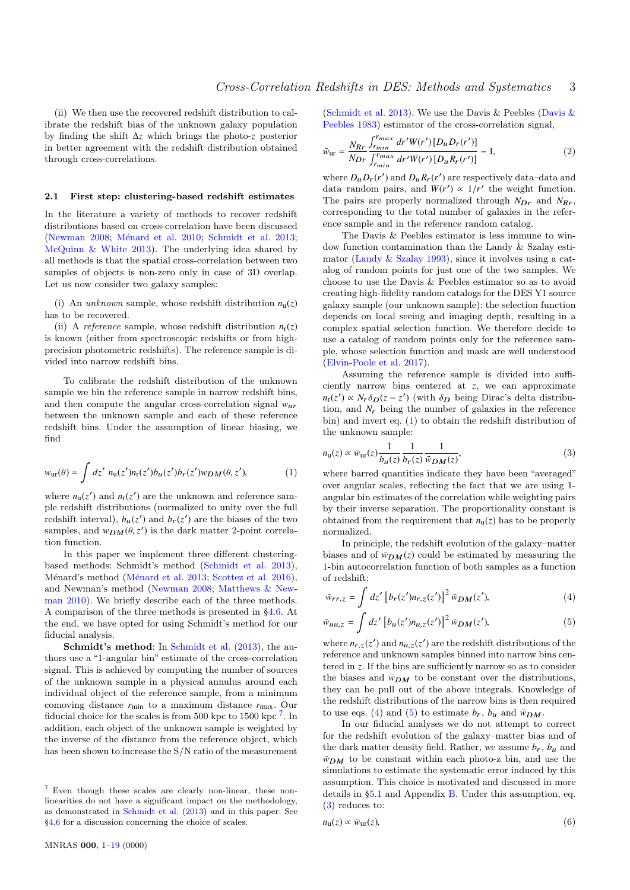(ii) We then use the recovered redshift distribution to calibrate the redshift bias of the unknown galaxy population by finding the shift ∆*z* which brings the photo-*z* posterior in better agreement with the redshift distribution obtained through cross-correlations.

#### 2.1 First step: clustering-based redshift estimates

In the literature a variety of methods to recover redshift distributions based on cross-correlation have been discussed (Newman 2008; Ménard et al. 2010; Schmidt et al. 2013; McQuinn & White 2013). The underlying idea shared by all methods is that the spatial cross-correlation between two samples of objects is non-zero only in case of 3D overlap. Let us now consider two galaxy samples:

(i) An unknown sample, whose redshift distribution  $n_u(z)$ has to be recovered.

(ii) A *reference* sample, whose redshift distribution  $n_r(z)$ is known (either from spectroscopic redshifts or from highprecision photometric redshifts). The reference sample is divided into narrow redshift bins.

To calibrate the redshift distribution of the unknown sample we bin the reference sample in narrow redshift bins, and then compute the angular cross-correlation signal  $w_{ur}$ between the unknown sample and each of these reference redshift bins. Under the assumption of linear biasing, we find

$$
w_{\text{ur}}(\theta) = \int dz' \ n_{\text{u}}(z') n_{\text{r}}(z') b_{\text{u}}(z') b_{\text{r}}(z') w_{DM}(\theta, z'), \tag{1}
$$

where  $n_{\text{u}}(z')$  and  $n_{\text{r}}(z')$  are the unknown and reference sample redshift distributions (normalized to unity over the full redshift interval),  $b_u(z')$  and  $b_r(z')$  are the biases of the two samples, and  $w_{DM}(\theta, z')$  is the dark matter 2-point correlation function.

In this paper we implement three different clusteringbased methods: Schmidt's method (Schmidt et al. 2013), Ménard's method (Ménard et al. 2013; Scottez et al. 2016), and Newman's method (Newman 2008; Matthews & Newman 2010). We briefly describe each of the three methods. A comparison of the three methods is presented in §4.6. At the end, we have opted for using Schmidt's method for our fiducial analysis.

Schmidt's method: In Schmidt et al. (2013), the authors use a "1-angular bin" estimate of the cross-correlation signal. This is achieved by computing the number of sources of the unknown sample in a physical annulus around each individual object of the reference sample, from a minimum comoving distance *r*min to a maximum distance *r*max. Our fiducial choice for the scales is from 500 kpc to 1500 kpc<sup>7</sup>. In addition, each object of the unknown sample is weighted by the inverse of the distance from the reference object, which has been shown to increase the S/N ratio of the measurement

(Schmidt et al. 2013). We use the Davis & Peebles (Davis & Peebles 1983) estimator of the cross-correlation signal,

$$
\bar{w}_{\text{ur}} = \frac{N_{Rr}}{N_{Dr}} \frac{\int_{r_{min}}^{r_{max}} dr' W(r') [D_{u} D_{r}(r')] }{\int_{r_{min}}^{r_{max}} dr' W(r') [D_{u} R_{r}(r')] - 1},
$$
\n(2)

where  $D_{\mu}D_{r}(r')$  and  $D_{\mu}R_{r}(r')$  are respectively data-data and data–random pairs, and  $W(r') \propto 1/r'$  the weight function. The pairs are properly normalized through  $N_{Dr}$  and  $N_{Rr}$ , corresponding to the total number of galaxies in the reference sample and in the reference random catalog.

The Davis & Peebles estimator is less immune to window function contamination than the Landy & Szalay estimator (Landy & Szalay 1993), since it involves using a catalog of random points for just one of the two samples. We choose to use the Davis & Peebles estimator so as to avoid creating high-fidelity random catalogs for the DES Y1 source galaxy sample (our unknown sample): the selection function depends on local seeing and imaging depth, resulting in a complex spatial selection function. We therefore decide to use a catalog of random points only for the reference sample, whose selection function and mask are well understood (Elvin-Poole et al. 2017).

Assuming the reference sample is divided into sufficiently narrow bins centered at *z*, we can approximate  $n_r(z') \propto N_r \delta_D(z-z')$  (with  $\delta_D$  being Dirac's delta distribu-<br>tion and N being the number of galaxies in the reference tion, and  $N_r$  being the number of galaxies in the reference bin) and invert eq. (1) to obtain the redshift distribution of the unknown sample:

$$
n_{\rm u}(z) \propto \bar{w}_{\rm ur}(z) \frac{1}{b_u(z)} \frac{1}{b_r(z)} \frac{1}{\bar{w}_{DM}(z)},\tag{3}
$$

where barred quantities indicate they have been "averaged" over angular scales, reflecting the fact that we are using 1 angular bin estimates of the correlation while weighting pairs by their inverse separation. The proportionality constant is obtained from the requirement that  $n_u(z)$  has to be properly normalized.

In principle, the redshift evolution of the galaxy–matter biases and of  $\bar{w}_{DM}(z)$  could be estimated by measuring the 1-bin autocorrelation function of both samples as a function of redshift:

$$
\bar{w}_{rr,z} = \int dz' \left[ b_r(z') n_{r,z}(z') \right]^2 \bar{w}_{DM}(z'), \tag{4}
$$

$$
\bar{w}_{uu,z} = \int dz' \left[ b_u(z') n_{u,z}(z') \right]^2 \bar{w}_{DM}(z'),\tag{5}
$$

where  $n_{r,z}(z')$  and  $n_{u,z}(z')$  are the redshift distributions of the reference and unknown samples binned into narrow hips can reference and unknown samples binned into narrow bins centered in *z*. If the bins are sufficiently narrow so as to consider the biases and  $\bar{w}_{DM}$  to be constant over the distributions, they can be pull out of the above integrals. Knowledge of the redshift distributions of the narrow bins is then required to use eqs. (4) and (5) to estimate  $b_r$ ,  $b_u$  and  $\bar{w}_{DM}$ .

In our fiducial analyses we do not attempt to correct for the redshift evolution of the galaxy–matter bias and of the dark matter density field. Rather, we assume  $b_r$ ,  $b_u$  and  $\bar{w}_{DM}$  to be constant within each photo-z bin, and use the simulations to estimate the systematic error induced by this assumption. This choice is motivated and discussed in more details in §5.1 and Appendix B. Under this assumption, eq. (3) reduces to:

$$
n_{\mathbf{u}}(z) \propto \bar{w}_{\mathbf{u}\mathbf{r}}(z),\tag{6}
$$

<sup>7</sup> Even though these scales are clearly non-linear, these nonlinearities do not have a significant impact on the methodology, as demonstrated in Schmidt et al. (2013) and in this paper. See §4.6 for a discussion concerning the choice of scales.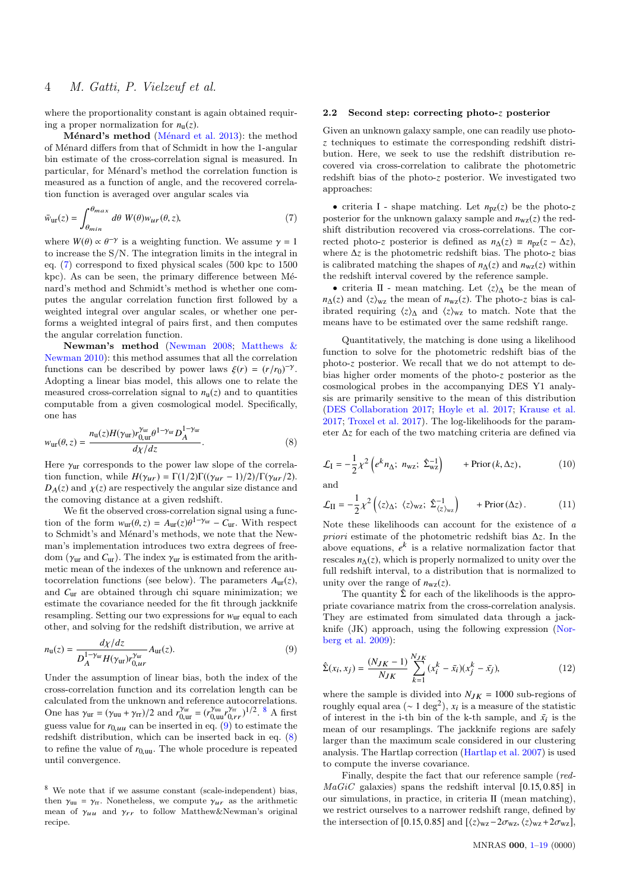where the proportionality constant is again obtained requiring a proper normalization for  $n<sub>u</sub>(z)$ .

Ménard's method (Ménard et al. 2013): the method of Ménard differs from that of Schmidt in how the 1-angular bin estimate of the cross-correlation signal is measured. In particular, for Ménard's method the correlation function is measured as a function of angle, and the recovered correlation function is averaged over angular scales via

$$
\bar{w}_{\text{ur}}(z) = \int_{\theta_{\text{min}}}^{\theta_{\text{max}}} d\theta \ W(\theta) w_{\text{ur}}(\theta, z), \tag{7}
$$

where  $W(\theta) \propto \theta^{-\gamma}$  is a weighting function. We assume  $\gamma = 1$ <br>to increase the S/N. The integration limits in the integral in to increase the S/N. The integration limits in the integral in eq. (7) correspond to fixed physical scales (500 kpc to 1500  $kpc$ ). As can be seen, the primary difference between Ménard's method and Schmidt's method is whether one computes the angular correlation function first followed by a weighted integral over angular scales, or whether one performs a weighted integral of pairs first, and then computes the angular correlation function.

Newman's method (Newman 2008; Matthews & Newman 2010): this method assumes that all the correlation functions can be described by power laws  $\xi(r) = (r/r_0)^{-\gamma}$ .<br>Adopting a linear bias model, this allows one to relate the Adopting a linear bias model, this allows one to relate the measured cross-correlation signal to  $n<sub>u</sub>(z)$  and to quantities computable from a given cosmological model. Specifically, one has

$$
w_{\text{ur}}(\theta, z) = \frac{n_{\text{u}}(z)H(\gamma_{\text{ur}})r_{0,\text{ur}}^{\gamma_{\text{ur}}} \theta^{1-\gamma_{\text{ur}}} D_A^{1-\gamma_{\text{ur}}}}{d\chi/dz}.
$$
(8)

Here  $\gamma_{\text{ur}}$  corresponds to the power law slope of the correlation function, while  $H(\gamma_{ur}) = \Gamma(1/2)\Gamma((\gamma_{ur}-1)/2)/\Gamma(\gamma_{ur}/2)$ .  $D_A(z)$  and  $\chi(z)$  are respectively the angular size distance and the comoving distance at a given redshift.

We fit the observed cross-correlation signal using a function of the form  $w_{\text{ur}}(\theta, z) = A_{\text{ur}}(z)\theta^{1-\gamma_{\text{ur}}} - C_{\text{ur}}$ . With respect to Schmidt's and Mónard's mothods, we note that the New to Schmidt's and Ménard's methods, we note that the Newman's implementation introduces two extra degrees of freedom ( $\gamma_{\text{ur}}$  and  $C_{\text{ur}}$ ). The index  $\gamma_{\text{ur}}$  is estimated from the arithmetic mean of the indexes of the unknown and reference autocorrelation functions (see below). The parameters  $A_{\text{ur}}(z)$ , and *C*ur are obtained through chi square minimization; we estimate the covariance needed for the fit through jackknife resampling. Setting our two expressions for  $w_{\text{ur}}$  equal to each other, and solving for the redshift distribution, we arrive at

$$
n_{\mathbf{u}}(z) = \frac{d\chi/dz}{D_A^{1-\gamma_{\mathbf{u}\mathbf{r}}}H(\gamma_{\mathbf{u}\mathbf{r}})r_{0,\mu r}^{\gamma_{\mathbf{u}\mathbf{r}}}}A_{\mathbf{u}\mathbf{r}}(z).
$$
\n(9)

Under the assumption of linear bias, both the index of the cross-correlation function and its correlation length can be calculated from the unknown and reference autocorrelations. One has  $\gamma_{ur} = (\gamma_{uu} + \gamma_{rr})/2$  and  $r_{0,ur}^{\gamma_{ur}} = (r_{0,ur}^{\gamma_{ur}})^{1/2}$ . <sup>8</sup> A first<br>guess value for  $r_0$  can be inserted in eq. (9) to estimate the guess value for  $r_{0,uu}$  can be inserted in eq. (9) to estimate the redshift distribution, which can be inserted back in eq. (8) to refine the value of  $r_{0,\text{uu}}$ . The whole procedure is repeated until convergence.

<sup>8</sup> We note that if we assume constant (scale-independent) bias, then  $\gamma_{uu} = \gamma_{rr}$ . Nonetheless, we compute  $\gamma_{ur}$  as the arithmetic mean of  $\gamma_{uu}$  and  $\gamma_{rr}$  to follow Matthew & Newman's original recipe.

### 2.2 Second step: correcting photo-*z* posterior

Given an unknown galaxy sample, one can readily use photo*z* techniques to estimate the corresponding redshift distribution. Here, we seek to use the redshift distribution recovered via cross-correlation to calibrate the photometric redshift bias of the photo-*z* posterior. We investigated two approaches:

• criteria I - shape matching. Let  $n_{pz}(z)$  be the photo-z posterior for the unknown galaxy sample and  $n_{wz}(z)$  the redshift distribution recovered via cross-correlations. The corrected photo-*z* posterior is defined as  $n_{\Delta}(z) \equiv n_{\text{pz}}(z - \Delta z)$ , where ∆*z* is the photometric redshift bias. The photo-*z* bias is calibrated matching the shapes of  $n_{\Delta}(z)$  and  $n_{\text{wz}}(z)$  within the redshift interval covered by the reference sample.

• criteria II - mean matching. Let  $\langle z \rangle$ <sup>A</sup> be the mean of *n*∆(*z*) and  $\langle z \rangle_{\text{wz}}$  the mean of *n*<sub>*wz*</sub>(*z*). The photo-*z* bias is calibrated requiring  $\langle z \rangle$ <sup>A</sup> and  $\langle z \rangle$ <sub>wz</sub> to match. Note that the means have to be estimated over the same redshift range.

Quantitatively, the matching is done using a likelihood function to solve for the photometric redshift bias of the photo-*z* posterior. We recall that we do not attempt to debias higher order moments of the photo-*z* posterior as the cosmological probes in the accompanying DES Y1 analysis are primarily sensitive to the mean of this distribution (DES Collaboration 2017; Hoyle et al. 2017; Krause et al. 2017; Troxel et al. 2017). The log-likelihoods for the parameter ∆*z* for each of the two matching criteria are defined via

$$
\mathcal{L}_{\rm I} = -\frac{1}{2} \chi^2 \left( e^k n_{\Delta}; \ n_{\rm wz}; \ \hat{\Sigma}_{\rm wz}^{-1} \right) \qquad + \text{Prior} \left( k, \Delta z \right), \tag{10}
$$

and

$$
\mathcal{L}_{II} = -\frac{1}{2} \chi^2 \left( \langle z \rangle_{\Delta}; \ \langle z \rangle_{\text{wz}}; \ \hat{\Sigma}_{\langle z \rangle_{\text{wz}}}^{-1} \right) \qquad + \text{Prior}(\Delta z). \tag{11}
$$

Note these likelihoods can account for the existence of  $a$ priori estimate of the photometric redshift bias ∆*z*. In the above equations,  $e^k$  is a relative normalization factor that rescales  $n_{\Delta}(z)$ , which is properly normalized to unity over the full redshift interval, to a distribution that is normalized to unity over the range of  $n_{\text{wz}}(z)$ .

The quantity  $\hat{\Sigma}$  for each of the likelihoods is the appropriate covariance matrix from the cross-correlation analysis. They are estimated from simulated data through a jackknife (JK) approach, using the following expression (Norberg et al. 2009):

$$
\hat{\Sigma}(x_i, x_j) = \frac{(N_{JK} - 1)}{N_{JK}} \sum_{k=1}^{N_{JK}} (x_i^k - \bar{x}_i)(x_j^k - \bar{x}_j),
$$
\n(12)

where the sample is divided into  $N_{JK} = 1000$  sub-regions of roughly equal area ( $\sim 1 \text{ deg}^2$ ),  $x_i$  is a measure of the statistic of interest in the i-th bin of the k-th sample, and  $\bar{x}_i$  is the mean of our resamplings. The jackknife regions are safely larger than the maximum scale considered in our clustering analysis. The Hartlap correction (Hartlap et al. 2007) is used to compute the inverse covariance.

Finally, despite the fact that our reference sample (red- $MaGiC$  galaxies) spans the redshift interval [0.15, 0.85] in our simulations, in practice, in criteria II (mean matching), we restrict ourselves to a narrower redshift range, defined by the intersection of [0.15, 0.85] and  $[\langle z \rangle_{\text{wz}} - 2\sigma_{\text{wz}}, \langle z \rangle_{\text{wz}} + 2\sigma_{\text{wz}}]$ ,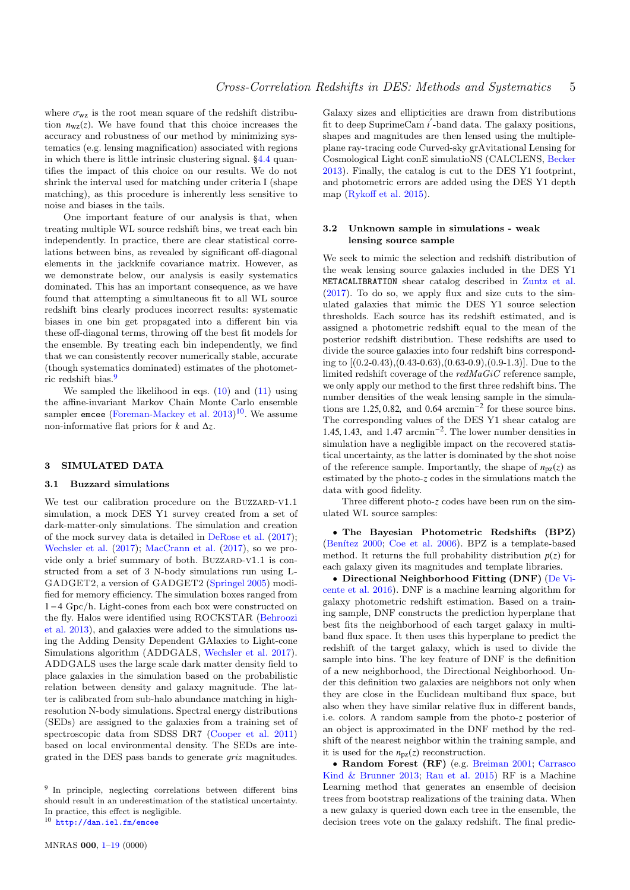where  $\sigma_{\rm wz}$  is the root mean square of the redshift distribution  $n_{\text{wz}}(z)$ . We have found that this choice increases the accuracy and robustness of our method by minimizing systematics (e.g. lensing magnification) associated with regions in which there is little intrinsic clustering signal. §4.4 quantifies the impact of this choice on our results. We do not shrink the interval used for matching under criteria I (shape matching), as this procedure is inherently less sensitive to noise and biases in the tails.

One important feature of our analysis is that, when treating multiple WL source redshift bins, we treat each bin independently. In practice, there are clear statistical correlations between bins, as revealed by significant off-diagonal elements in the jackknife covariance matrix. However, as we demonstrate below, our analysis is easily systematics dominated. This has an important consequence, as we have found that attempting a simultaneous fit to all WL source redshift bins clearly produces incorrect results: systematic biases in one bin get propagated into a different bin via these off-diagonal terms, throwing off the best fit models for the ensemble. By treating each bin independently, we find that we can consistently recover numerically stable, accurate (though systematics dominated) estimates of the photometric redshift bias.<sup>9</sup>

We sampled the likelihood in eqs.  $(10)$  and  $(11)$  using the affine-invariant Markov Chain Monte Carlo ensemble sampler emcee (Foreman-Mackey et al.  $2013)^{10}$ . We assume non-informative flat priors for *k* and ∆*z*.

## 3 SIMULATED DATA

## 3.1 Buzzard simulations

We test our calibration procedure on the BUZZARD-V1.1 simulation, a mock DES Y1 survey created from a set of dark-matter-only simulations. The simulation and creation of the mock survey data is detailed in DeRose et al. (2017); Wechsler et al. (2017); MacCrann et al. (2017), so we provide only a brief summary of both. BUZZARD-V1.1 is constructed from a set of 3 N-body simulations run using L-GADGET2, a version of GADGET2 (Springel 2005) modified for memory efficiency. The simulation boxes ranged from 1−4 Gpc/h. Light-cones from each box were constructed on the fly. Halos were identified using ROCKSTAR (Behroozi et al. 2013), and galaxies were added to the simulations using the Adding Density Dependent GAlaxies to Light-cone Simulations algorithm (ADDGALS, Wechsler et al. 2017). ADDGALS uses the large scale dark matter density field to place galaxies in the simulation based on the probabilistic relation between density and galaxy magnitude. The latter is calibrated from sub-halo abundance matching in highresolution N-body simulations. Spectral energy distributions (SEDs) are assigned to the galaxies from a training set of spectroscopic data from SDSS DR7 (Cooper et al. 2011) based on local environmental density. The SEDs are integrated in the DES pass bands to generate griz magnitudes.

<sup>10</sup> <http://dan.iel.fm/emcee>

Galaxy sizes and ellipticities are drawn from distributions fit to deep SuprimeCam *i* -band data. The galaxy positions, shapes and magnitudes are then lensed using the multipleplane ray-tracing code Curved-sky grAvitational Lensing for Cosmological Light conE simulatioNS (CALCLENS, Becker 2013). Finally, the catalog is cut to the DES Y1 footprint, and photometric errors are added using the DES Y1 depth map (Rykoff et al. 2015).

## 3.2 Unknown sample in simulations - weak lensing source sample

We seek to mimic the selection and redshift distribution of the weak lensing source galaxies included in the DES Y1 METACALIBRATION shear catalog described in Zuntz et al. (2017). To do so, we apply flux and size cuts to the simulated galaxies that mimic the DES Y1 source selection thresholds. Each source has its redshift estimated, and is assigned a photometric redshift equal to the mean of the posterior redshift distribution. These redshifts are used to divide the source galaxies into four redshift bins corresponding to [(0.2-0.43),(0.43-0.63),(0.63-0.9),(0.9-1.3)]. Due to the limited redshift coverage of the  $redMaGiC$  reference sample, we only apply our method to the first three redshift bins. The number densities of the weak lensing sample in the simulations are 1.25, 0.82, and 0.64 arcmin<sup> $-2$ </sup> for these source bins.<br>The corresponding values of the DES  $V1$  shear catalog arc The corresponding values of the DES Y1 shear catalog are 1.45, 1.43, and 1.47 arcmin<sup>-2</sup>. The lower number densities in simulation have a nonligible impact on the recovered statis simulation have a negligible impact on the recovered statistical uncertainty, as the latter is dominated by the shot noise of the reference sample. Importantly, the shape of  $n_{pz}(z)$  as estimated by the photo-*z* codes in the simulations match the data with good fidelity.

Three different photo-*z* codes have been run on the simulated WL source samples:

• The Bayesian Photometric Redshifts (BPZ) (Benítez  $2000$ ; Coe et al.  $2006$ ). BPZ is a template-based method. It returns the full probability distribution  $p(z)$  for each galaxy given its magnitudes and template libraries.

• Directional Neighborhood Fitting (DNF) (De Vicente et al. 2016). DNF is a machine learning algorithm for galaxy photometric redshift estimation. Based on a training sample, DNF constructs the prediction hyperplane that best fits the neighborhood of each target galaxy in multiband flux space. It then uses this hyperplane to predict the redshift of the target galaxy, which is used to divide the sample into bins. The key feature of DNF is the definition of a new neighborhood, the Directional Neighborhood. Under this definition two galaxies are neighbors not only when they are close in the Euclidean multiband flux space, but also when they have similar relative flux in different bands, i.e. colors. A random sample from the photo-*z* posterior of an object is approximated in the DNF method by the redshift of the nearest neighbor within the training sample, and it is used for the  $n_{\text{pz}}(z)$  reconstruction.

• Random Forest (RF) (e.g. Breiman 2001; Carrasco Kind & Brunner 2013; Rau et al. 2015) RF is a Machine Learning method that generates an ensemble of decision trees from bootstrap realizations of the training data. When a new galaxy is queried down each tree in the ensemble, the decision trees vote on the galaxy redshift. The final predic-

<sup>&</sup>lt;sup>9</sup> In principle, neglecting correlations between different bins should result in an underestimation of the statistical uncertainty. In practice, this effect is negligible.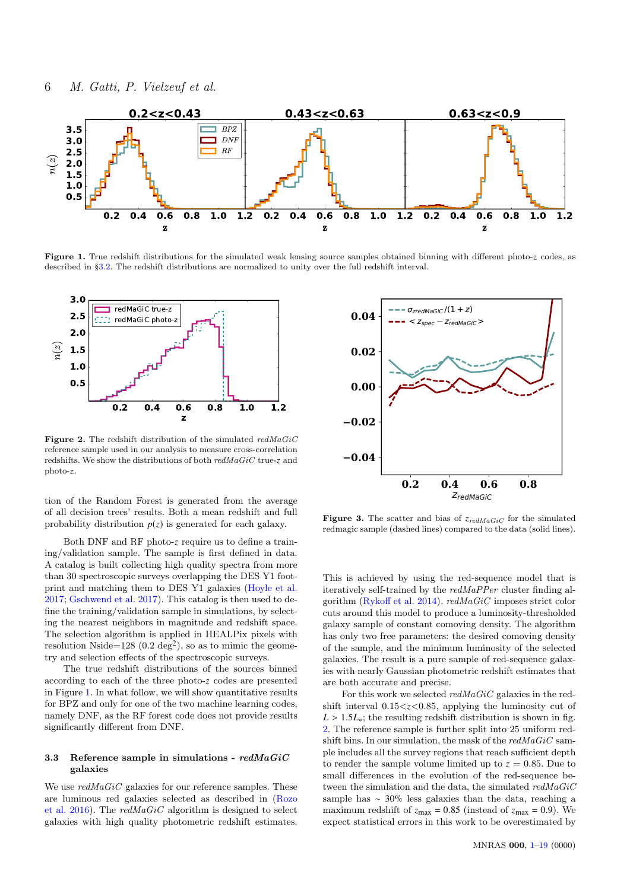

Figure 1. True redshift distributions for the simulated weak lensing source samples obtained binning with different photo-z codes, as described in §3.2. The redshift distributions are normalized to unity over the full redshift interval.



Figure 2. The redshift distribution of the simulated  $redMaGiC$ reference sample used in our analysis to measure cross-correlation redshifts. We show the distributions of both redMaGiC true-z and photo-z.

tion of the Random Forest is generated from the average of all decision trees' results. Both a mean redshift and full probability distribution  $p(z)$  is generated for each galaxy.

Both DNF and RF photo-*z* require us to define a training/validation sample. The sample is first defined in data. A catalog is built collecting high quality spectra from more than 30 spectroscopic surveys overlapping the DES Y1 footprint and matching them to DES Y1 galaxies (Hoyle et al. 2017; Gschwend et al. 2017). This catalog is then used to define the training/validation sample in simulations, by selecting the nearest neighbors in magnitude and redshift space. The selection algorithm is applied in HEALPix pixels with resolution Nside= $128 (0.2 \text{ deg}^2)$ , so as to mimic the geometry and selection effects of the spectroscopic surveys.

The true redshift distributions of the sources binned according to each of the three photo-*z* codes are presented in Figure 1. In what follow, we will show quantitative results for BPZ and only for one of the two machine learning codes, namely DNF, as the RF forest code does not provide results significantly different from DNF.

#### 3.3 Reference sample in simulations -  $redMaGiC$ galaxies

We use  $redMaGiC$  galaxies for our reference samples. These are luminous red galaxies selected as described in (Rozo et al. 2016). The  $redMaGiC$  algorithm is designed to select galaxies with high quality photometric redshift estimates.



Figure 3. The scatter and bias of  $z_{redMaGiC}$  for the simulated redmagic sample (dashed lines) compared to the data (solid lines).

This is achieved by using the red-sequence model that is iteratively self-trained by the redMaPPer cluster finding algorithm (Rykoff et al. 2014). redMaGiC imposes strict color cuts around this model to produce a luminosity-thresholded galaxy sample of constant comoving density. The algorithm has only two free parameters: the desired comoving density of the sample, and the minimum luminosity of the selected galaxies. The result is a pure sample of red-sequence galaxies with nearly Gaussian photometric redshift estimates that are both accurate and precise.

For this work we selected  $redMaGiC$  galaxies in the redshift interval  $0.15 < z < 0.85$ , applying the luminosity cut of  $L > 1.5L_*$ ; the resulting redshift distribution is shown in fig. 2. The reference sample is further split into 25 uniform redshift bins. In our simulation, the mask of the  $redMaGiC$  sample includes all the survey regions that reach sufficient depth to render the sample volume limited up to  $z = 0.85$ . Due to small differences in the evolution of the red-sequence between the simulation and the data, the simulated  $redMaGiC$ sample has ∼ 30% less galaxies than the data, reaching a maximum redshift of  $z_{\text{max}} = 0.85$  (instead of  $z_{\text{max}} = 0.9$ ). We expect statistical errors in this work to be overestimated by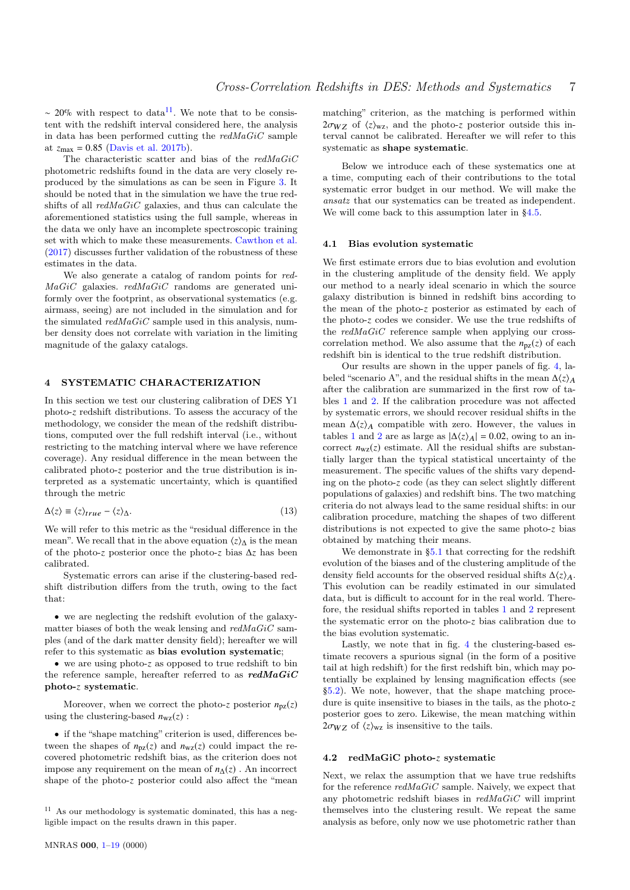~ 20% with respect to data<sup>11</sup>. We note that to be consistent with the redshift interval considered here, the analysis in data has been performed cutting the  $redMaGiC$  sample at  $z_{\text{max}} = 0.85$  (Davis et al. 2017b).

The characteristic scatter and bias of the  $redMaGiC$ photometric redshifts found in the data are very closely reproduced by the simulations as can be seen in Figure 3. It should be noted that in the simulation we have the true redshifts of all redMaGiC galaxies, and thus can calculate the aforementioned statistics using the full sample, whereas in the data we only have an incomplete spectroscopic training set with which to make these measurements. Cawthon et al. (2017) discusses further validation of the robustness of these estimates in the data.

We also generate a catalog of random points for red- $MaGiC$  galaxies.  $redMaGiC$  randoms are generated uniformly over the footprint, as observational systematics (e.g. airmass, seeing) are not included in the simulation and for the simulated  $redMaGiC$  sample used in this analysis, number density does not correlate with variation in the limiting magnitude of the galaxy catalogs.

## 4 SYSTEMATIC CHARACTERIZATION

In this section we test our clustering calibration of DES Y1 photo-*z* redshift distributions. To assess the accuracy of the methodology, we consider the mean of the redshift distributions, computed over the full redshift interval (i.e., without restricting to the matching interval where we have reference coverage). Any residual difference in the mean between the calibrated photo-*z* posterior and the true distribution is interpreted as a systematic uncertainty, which is quantified through the metric

$$
\Delta \langle z \rangle \equiv \langle z \rangle_{true} - \langle z \rangle_{\Delta}.\tag{13}
$$

We will refer to this metric as the "residual difference in the mean". We recall that in the above equation  $\langle z \rangle$ <sup>*i*</sup> is the mean of the photo-*z* posterior once the photo-*z* bias ∆*z* has been calibrated.

Systematic errors can arise if the clustering-based redshift distribution differs from the truth, owing to the fact that:

• we are neglecting the redshift evolution of the galaxymatter biases of both the weak lensing and  $redMaGiC$  samples (and of the dark matter density field); hereafter we will refer to this systematic as bias evolution systematic;

• we are using photo-*z* as opposed to true redshift to bin the reference sample, hereafter referred to as  $\textit{redMaGiC}$ photo-*z* systematic.

Moreover, when we correct the photo-*z* posterior  $n_{pz}(z)$ using the clustering-based  $n_{\text{wz}}(z)$ :

• if the "shape matching" criterion is used, differences between the shapes of  $n_{pz}(z)$  and  $n_{wz}(z)$  could impact the recovered photometric redshift bias, as the criterion does not impose any requirement on the mean of  $n_{\Delta}(z)$ . An incorrect shape of the photo-*z* posterior could also affect the "mean matching" criterion, as the matching is performed within  $2\sigma_{WZ}$  of  $\langle z \rangle_{WZ}$ , and the photo-*z* posterior outside this interval cannot be calibrated. Hereafter we will refer to this systematic as shape systematic.

Below we introduce each of these systematics one at a time, computing each of their contributions to the total systematic error budget in our method. We will make the ansatz that our systematics can be treated as independent. We will come back to this assumption later in §4.5.

#### 4.1 Bias evolution systematic

We first estimate errors due to bias evolution and evolution in the clustering amplitude of the density field. We apply our method to a nearly ideal scenario in which the source galaxy distribution is binned in redshift bins according to the mean of the photo-*z* posterior as estimated by each of the photo-*z* codes we consider. We use the true redshifts of the  $redMaGiC$  reference sample when applying our crosscorrelation method. We also assume that the  $n_{pz}(z)$  of each redshift bin is identical to the true redshift distribution.

Our results are shown in the upper panels of fig. 4, labeled "scenario A", and the residual shifts in the mean  $\Delta\langle z \rangle_A$ after the calibration are summarized in the first row of tables 1 and 2. If the calibration procedure was not affected by systematic errors, we should recover residual shifts in the mean  $\Delta\langle z \rangle_A$  compatible with zero. However, the values in tables 1 and 2 are as large as  $|\Delta\langle z\rangle_A| = 0.02$ , owing to an incorrect  $n_{\text{wz}}(z)$  estimate. All the residual shifts are substantially larger than the typical statistical uncertainty of the measurement. The specific values of the shifts vary depending on the photo-*z* code (as they can select slightly different populations of galaxies) and redshift bins. The two matching criteria do not always lead to the same residual shifts: in our calibration procedure, matching the shapes of two different distributions is not expected to give the same photo-*z* bias obtained by matching their means.

We demonstrate in §5.1 that correcting for the redshift evolution of the biases and of the clustering amplitude of the density field accounts for the observed residual shifts  $\Delta\langle z\rangle_A$ . This evolution can be readily estimated in our simulated data, but is difficult to account for in the real world. Therefore, the residual shifts reported in tables 1 and 2 represent the systematic error on the photo-*z* bias calibration due to the bias evolution systematic.

Lastly, we note that in fig. 4 the clustering-based estimate recovers a spurious signal (in the form of a positive tail at high redshift) for the first redshift bin, which may potentially be explained by lensing magnification effects (see §5.2). We note, however, that the shape matching procedure is quite insensitive to biases in the tails, as the photo-*z* posterior goes to zero. Likewise, the mean matching within  $2\sigma_{WZ}$  of  $\langle z \rangle_{WZ}$  is insensitive to the tails.

#### 4.2 redMaGiC photo-*z* systematic

Next, we relax the assumption that we have true redshifts for the reference  $redMaGiC$  sample. Naively, we expect that any photometric redshift biases in  $redMaGiC$  will imprint themselves into the clustering result. We repeat the same analysis as before, only now we use photometric rather than

<sup>11</sup> As our methodology is systematic dominated, this has a negligible impact on the results drawn in this paper.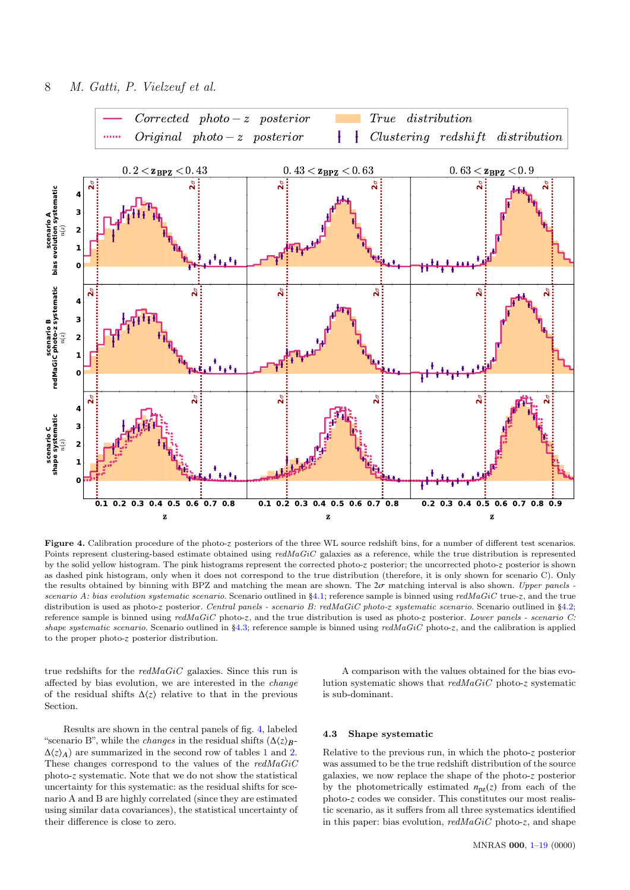

Figure 4. Calibration procedure of the photo-z posteriors of the three WL source redshift bins, for a number of different test scenarios. Points represent clustering-based estimate obtained using  $redMaGiC$  galaxies as a reference, while the true distribution is represented by the solid yellow histogram. The pink histograms represent the corrected photo-z posterior; the uncorrected photo-z posterior is shown as dashed pink histogram, only when it does not correspond to the true distribution (therefore, it is only shown for scenario C). Only the results obtained by binning with BPZ and matching the mean are shown. The  $2\sigma$  matching interval is also shown. Upper panels scenario A: bias evolution systematic scenario. Scenario outlined in §4.1; reference sample is binned using redMaGiC true-z, and the true distribution is used as photo-z posterior. Central panels - scenario B: redMaGiC photo-z systematic scenario. Scenario outlined in §4.2; reference sample is binned using  $redMaGiC$  photo-z, and the true distribution is used as photo-z posterior. Lower panels - scenario C: shape systematic scenario. Scenario outlined in  $\S4.3$ ; reference sample is binned using redMaGiC photo-z, and the calibration is applied to the proper photo-z posterior distribution.

true redshifts for the redMaGiC galaxies. Since this run is affected by bias evolution, we are interested in the change of the residual shifts  $\Delta\langle z \rangle$  relative to that in the previous Section.

Results are shown in the central panels of fig. 4, labeled "scenario B", while the *changes* in the residual shifts  $(\Delta \langle z \rangle_B \Delta\langle z \rangle_A$ ) are summarized in the second row of tables 1 and 2. These changes correspond to the values of the redMaGiC photo-*z* systematic. Note that we do not show the statistical uncertainty for this systematic: as the residual shifts for scenario A and B are highly correlated (since they are estimated using similar data covariances), the statistical uncertainty of their difference is close to zero.

A comparison with the values obtained for the bias evolution systematic shows that redMaGiC photo-*z* systematic is sub-dominant.

## 4.3 Shape systematic

Relative to the previous run, in which the photo-*z* posterior was assumed to be the true redshift distribution of the source galaxies, we now replace the shape of the photo-*z* posterior by the photometrically estimated  $n_{pz}(z)$  from each of the photo-*z* codes we consider. This constitutes our most realistic scenario, as it suffers from all three systematics identified in this paper: bias evolution, redMaGiC photo-*z*, and shape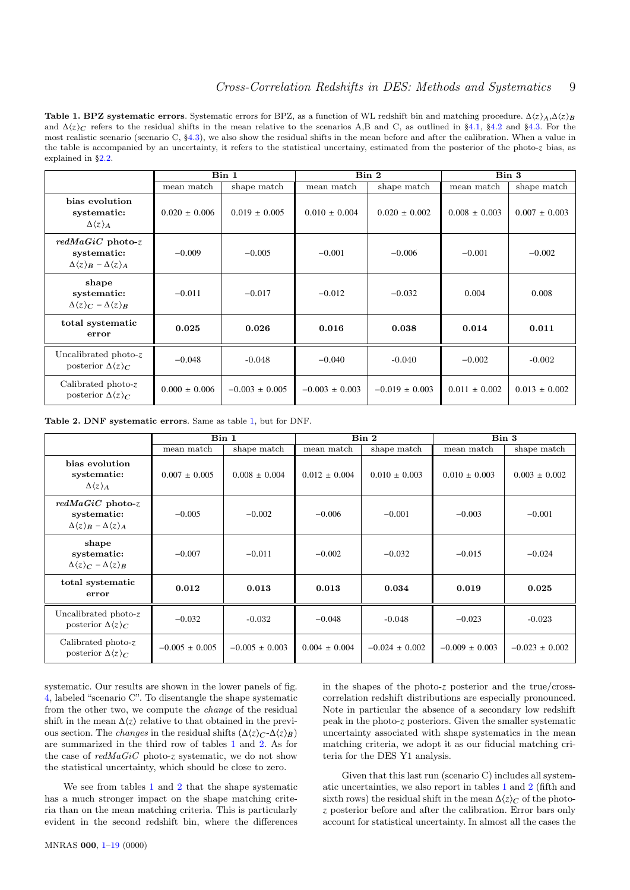Table 1. BPZ systematic errors. Systematic errors for BPZ, as a function of WL redshift bin and matching procedure.  $\Delta\langle z\rangle_A,\Delta\langle z\rangle_B$ and  $\Delta\langle z \rangle_C$  refers to the residual shifts in the mean relative to the scenarios A,B and C, as outlined in §4.1, §4.2 and §4.3. For the most realistic scenario (scenario C, §4.3), we also show the residual shifts in the mean before and after the calibration. When a value in the table is accompanied by an uncertainty, it refers to the statistical uncertainy, estimated from the posterior of the photo-z bias, as explained in §2.2.

|                                                                                                | Bin 1             |                    | Bin 2              |                    | Bin 3             |                   |
|------------------------------------------------------------------------------------------------|-------------------|--------------------|--------------------|--------------------|-------------------|-------------------|
|                                                                                                | mean match        | shape match        | mean match         | shape match        | mean match        | shape match       |
| bias evolution<br>systematic:<br>$\Delta\langle z\rangle_A$                                    | $0.020 \pm 0.006$ | $0.019 \pm 0.005$  | $0.010 \pm 0.004$  | $0.020 \pm 0.002$  | $0.008 \pm 0.003$ | $0.007 \pm 0.003$ |
| $redMaGiC$ photo-z<br>systematic:<br>$\Delta \langle z \rangle_B - \Delta \langle z \rangle_A$ | $-0.009$          | $-0.005$           | $-0.001$           | $-0.006$           | $-0.001$          | $-0.002$          |
| shape<br>systematic:<br>$\Delta \langle z \rangle_C - \Delta \langle z \rangle_B$              | $-0.011$          | $-0.017$           | $-0.012$           | $-0.032$           | 0.004             | 0.008             |
| total systematic<br>error                                                                      | 0.025             | 0.026              | 0.016              | 0.038              | 0.014             | 0.011             |
| Uncalibrated photo-z<br>posterior $\Delta\langle z\rangle_C$                                   | $-0.048$          | $-0.048$           | $-0.040$           | $-0.040$           | $-0.002$          | $-0.002$          |
| Calibrated photo-z<br>posterior $\Delta\langle z\rangle_C$                                     | $0.000 \pm 0.006$ | $-0.003 \pm 0.005$ | $-0.003 \pm 0.003$ | $-0.019 \pm 0.003$ | $0.011 \pm 0.002$ | $0.013 \pm 0.002$ |

Table 2. DNF systematic errors. Same as table 1, but for DNF.

|                                                                                            | Bin 1              |                    | Bin 2             |                    | Bin 3              |                    |
|--------------------------------------------------------------------------------------------|--------------------|--------------------|-------------------|--------------------|--------------------|--------------------|
|                                                                                            | mean match         | shape match        | mean match        | shape match        | mean match         | shape match        |
| bias evolution<br>systematic:<br>$\Delta\langle z\rangle_A$                                | $0.007 \pm 0.005$  | $0.008 \pm 0.004$  | $0.012 \pm 0.004$ | $0.010 \pm 0.003$  | $0.010 \pm 0.003$  | $0.003 \pm 0.002$  |
| $redMaGiC$ photo-z<br>systematic:<br>$\Delta\langle z\rangle_B - \Delta\langle z\rangle_A$ | $-0.005$           | $-0.002$           | $-0.006$          | $-0.001$           | $-0.003$           | $-0.001$           |
| shape<br>systematic:<br>$\Delta\langle z\rangle_C - \Delta\langle z\rangle_B$              | $-0.007$           | $-0.011$           | $-0.002$          | $-0.032$           | $-0.015$           | $-0.024$           |
| total systematic<br>error                                                                  | 0.012              | 0.013              | 0.013             | 0.034              | 0.019              | 0.025              |
| Uncalibrated $photo-z$<br>posterior $\Delta\langle z\rangle_c$                             | $-0.032$           | $-0.032$           | $-0.048$          | $-0.048$           | $-0.023$           | $-0.023$           |
| Calibrated photo- $z$<br>posterior $\Delta\langle z\rangle_c$                              | $-0.005 \pm 0.005$ | $-0.005 \pm 0.003$ | $0.004 \pm 0.004$ | $-0.024 \pm 0.002$ | $-0.009 \pm 0.003$ | $-0.023 \pm 0.002$ |

systematic. Our results are shown in the lower panels of fig. 4, labeled "scenario C". To disentangle the shape systematic from the other two, we compute the change of the residual shift in the mean  $\Delta\langle z \rangle$  relative to that obtained in the previous section. The *changes* in the residual shifts  $(\Delta \langle z \rangle_C - \Delta \langle z \rangle_B)$ are summarized in the third row of tables 1 and 2. As for the case of redMaGiC photo-*z* systematic, we do not show the statistical uncertainty, which should be close to zero.

We see from tables 1 and 2 that the shape systematic has a much stronger impact on the shape matching criteria than on the mean matching criteria. This is particularly evident in the second redshift bin, where the differences in the shapes of the photo-*z* posterior and the true/crosscorrelation redshift distributions are especially pronounced. Note in particular the absence of a secondary low redshift peak in the photo-*z* posteriors. Given the smaller systematic uncertainty associated with shape systematics in the mean matching criteria, we adopt it as our fiducial matching criteria for the DES Y1 analysis.

Given that this last run (scenario C) includes all systematic uncertainties, we also report in tables 1 and 2 (fifth and sixth rows) the residual shift in the mean  $\Delta\langle z\rangle_C$  of the photo*z* posterior before and after the calibration. Error bars only account for statistical uncertainty. In almost all the cases the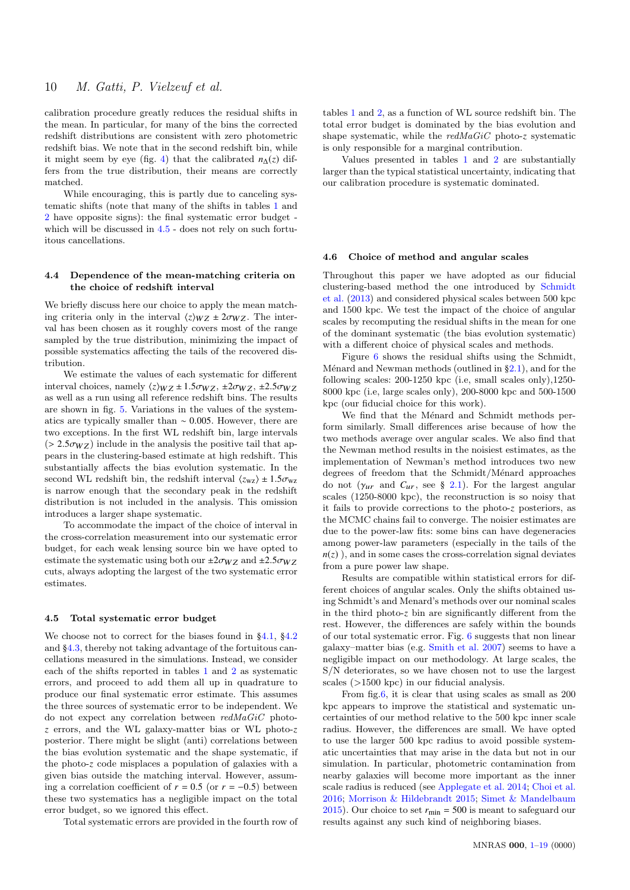calibration procedure greatly reduces the residual shifts in the mean. In particular, for many of the bins the corrected redshift distributions are consistent with zero photometric redshift bias. We note that in the second redshift bin, while it might seem by eye (fig. 4) that the calibrated  $n_{\Lambda}(z)$  differs from the true distribution, their means are correctly matched.

While encouraging, this is partly due to canceling systematic shifts (note that many of the shifts in tables 1 and 2 have opposite signs): the final systematic error budget which will be discussed in  $4.5$  - does not rely on such fortuitous cancellations.

## 4.4 Dependence of the mean-matching criteria on the choice of redshift interval

We briefly discuss here our choice to apply the mean matching criteria only in the interval  $\langle z \rangle_{WZ} \pm 2\sigma_{WZ}$ . The interval has been chosen as it roughly covers most of the range sampled by the true distribution, minimizing the impact of possible systematics affecting the tails of the recovered distribution.

We estimate the values of each systematic for different interval choices, namely  $\langle z \rangle_{WZ} \pm 1.5 \sigma_{WZ}$ ,  $\pm 2 \sigma_{WZ}$ ,  $\pm 2.5 \sigma_{WZ}$ as well as a run using all reference redshift bins. The results are shown in fig. 5. Variations in the values of the systematics are typically smaller than <sup>∼</sup> <sup>0</sup>.005. However, there are two exceptions. In the first WL redshift bin, large intervals  $(> 2.5 \sigma_{WZ})$  include in the analysis the positive tail that appears in the clustering-based estimate at high redshift. This substantially affects the bias evolution systematic. In the second WL redshift bin, the redshift interval  $\langle z_{\rm wz} \rangle \pm 1.5 \sigma_{\rm wz}$ is narrow enough that the secondary peak in the redshift distribution is not included in the analysis. This omission introduces a larger shape systematic.

To accommodate the impact of the choice of interval in the cross-correlation measurement into our systematic error budget, for each weak lensing source bin we have opted to estimate the systematic using both our  $\pm 2\sigma_{WZ}$  and  $\pm 2.5\sigma_{WZ}$ cuts, always adopting the largest of the two systematic error estimates.

#### 4.5 Total systematic error budget

We choose not to correct for the biases found in §4.1, §4.2 and §4.3, thereby not taking advantage of the fortuitous cancellations measured in the simulations. Instead, we consider each of the shifts reported in tables 1 and 2 as systematic errors, and proceed to add them all up in quadrature to produce our final systematic error estimate. This assumes the three sources of systematic error to be independent. We do not expect any correlation between redMaGiC photo*z* errors, and the WL galaxy-matter bias or WL photo-*z* posterior. There might be slight (anti) correlations between the bias evolution systematic and the shape systematic, if the photo-*z* code misplaces a population of galaxies with a given bias outside the matching interval. However, assuming a correlation coefficient of  $r = 0.5$  (or  $r = -0.5$ ) between these two systematics has a negligible impact on the total error budget, so we ignored this effect.

Total systematic errors are provided in the fourth row of

tables 1 and 2, as a function of WL source redshift bin. The total error budget is dominated by the bias evolution and shape systematic, while the redMaGiC photo-*z* systematic is only responsible for a marginal contribution.

Values presented in tables 1 and 2 are substantially larger than the typical statistical uncertainty, indicating that our calibration procedure is systematic dominated.

#### 4.6 Choice of method and angular scales

Throughout this paper we have adopted as our fiducial clustering-based method the one introduced by Schmidt et al. (2013) and considered physical scales between 500 kpc and 1500 kpc. We test the impact of the choice of angular scales by recomputing the residual shifts in the mean for one of the dominant systematic (the bias evolution systematic) with a different choice of physical scales and methods.

Figure 6 shows the residual shifts using the Schmidt, Ménard and Newman methods (outlined in  $\S2.1$ ), and for the following scales: 200-1250 kpc (i.e, small scales only),1250- 8000 kpc (i.e, large scales only), 200-8000 kpc and 500-1500 kpc (our fiducial choice for this work).

We find that the Ménard and Schmidt methods perform similarly. Small differences arise because of how the two methods average over angular scales. We also find that the Newman method results in the noisiest estimates, as the implementation of Newman's method introduces two new  $\deg$ rees of freedom that the Schmidt/Ménard approaches do not  $(\gamma_{ur}$  and  $C_{ur}$ , see § 2.1). For the largest angular scales (1250-8000 kpc), the reconstruction is so noisy that it fails to provide corrections to the photo-*z* posteriors, as the MCMC chains fail to converge. The noisier estimates are due to the power-law fits: some bins can have degeneracies among power-law parameters (especially in the tails of the  $n(z)$ , and in some cases the cross-correlation signal deviates from a pure power law shape.

Results are compatible within statistical errors for different choices of angular scales. Only the shifts obtained using Schmidt's and Menard's methods over our nominal scales in the third photo-*z* bin are significantly different from the rest. However, the differences are safely within the bounds of our total systematic error. Fig. 6 suggests that non linear galaxy–matter bias (e.g. Smith et al. 2007) seems to have a negligible impact on our methodology. At large scales, the S/N deteriorates, so we have chosen not to use the largest scales (>1500 kpc) in our fiducial analysis.

From fig.6, it is clear that using scales as small as 200 kpc appears to improve the statistical and systematic uncertainties of our method relative to the 500 kpc inner scale radius. However, the differences are small. We have opted to use the larger 500 kpc radius to avoid possible systematic uncertainties that may arise in the data but not in our simulation. In particular, photometric contamination from nearby galaxies will become more important as the inner scale radius is reduced (see Applegate et al. 2014; Choi et al. 2016; Morrison & Hildebrandt 2015; Simet & Mandelbaum 2015). Our choice to set  $r_{\text{min}} = 500$  is meant to safeguard our results against any such kind of neighboring biases.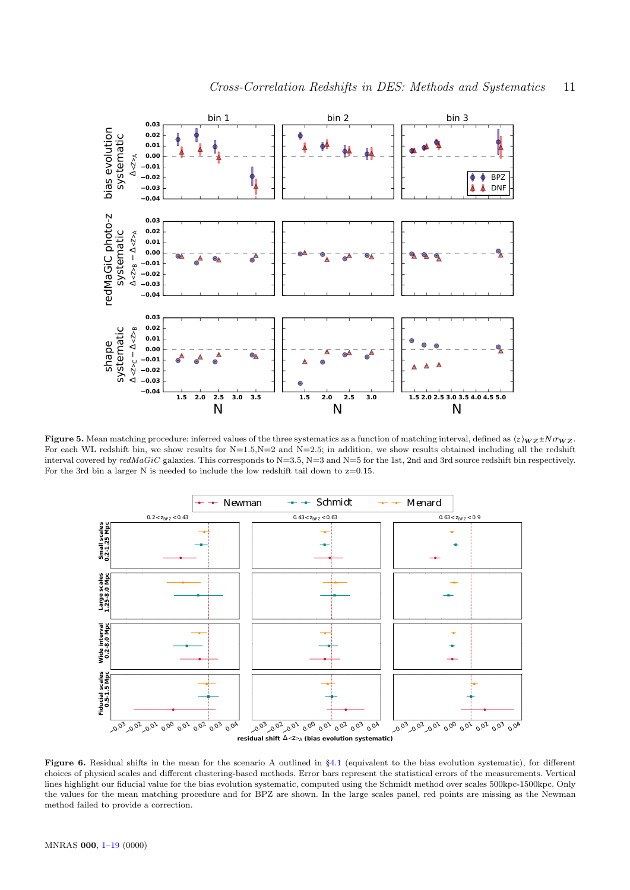

**Figure 5.** Mean matching procedure: inferred values of the three systematics as a function of matching interval, defined as  $\langle z \rangle_{WZ} \pm N \sigma_{WZ}$ . For each WL redshift bin, we show results for N=1.5,N=2 and N=2.5; in addition, we show results obtained including all the redshift interval covered by  $redMaGiC$  galaxies. This corresponds to  $N=3.5$ ,  $N=3$  and  $N=5$  for the 1st, 2nd and 3rd source redshift bin respectively. For the 3rd bin a larger N is needed to include the low redshift tail down to  $z=0.15$ .



Figure 6. Residual shifts in the mean for the scenario A outlined in §4.1 (equivalent to the bias evolution systematic), for different choices of physical scales and different clustering-based methods. Error bars represent the statistical errors of the measurements. Vertical lines highlight our fiducial value for the bias evolution systematic, computed using the Schmidt method over scales 500kpc-1500kpc. Only the values for the mean matching procedure and for BPZ are shown. In the large scales panel, red points are missing as the Newman method failed to provide a correction.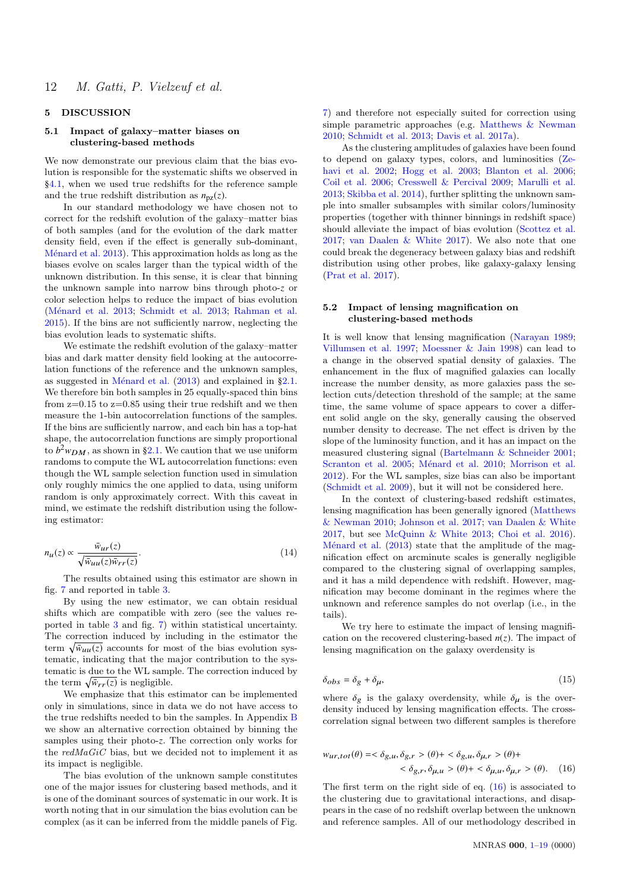# 5 DISCUSSION

## 5.1 Impact of galaxy–matter biases on clustering-based methods

We now demonstrate our previous claim that the bias evolution is responsible for the systematic shifts we observed in §4.1, when we used true redshifts for the reference sample and the true redshift distribution as  $n_{\text{pz}}(z)$ .

In our standard methodology we have chosen not to correct for the redshift evolution of the galaxy–matter bias of both samples (and for the evolution of the dark matter density field, even if the effect is generally sub-dominant, Ménard et al. 2013). This approximation holds as long as the biases evolve on scales larger than the typical width of the unknown distribution. In this sense, it is clear that binning the unknown sample into narrow bins through photo-*z* or color selection helps to reduce the impact of bias evolution (Ménard et al. 2013; Schmidt et al. 2013; Rahman et al. 2015). If the bins are not sufficiently narrow, neglecting the bias evolution leads to systematic shifts.

We estimate the redshift evolution of the galaxy–matter bias and dark matter density field looking at the autocorrelation functions of the reference and the unknown samples, as suggested in Ménard et al.  $(2013)$  and explained in §2.1. We therefore bin both samples in 25 equally-spaced thin bins from  $z=0.15$  to  $z=0.85$  using their true redshift and we then measure the 1-bin autocorrelation functions of the samples. If the bins are sufficiently narrow, and each bin has a top-hat shape, the autocorrelation functions are simply proportional to  $b^2 w_{DM}$ , as shown in §2.1. We caution that we use uniform randoms to compute the WL autocorrelation functions: even though the WL sample selection function used in simulation only roughly mimics the one applied to data, using uniform random is only approximately correct. With this caveat in mind, we estimate the redshift distribution using the following estimator:

$$
n_u(z) \propto \frac{\bar{w}_{ur}(z)}{\sqrt{\bar{w}_{uu}(z)\bar{w}_{rr}(z)}}.\tag{14}
$$

The results obtained using this estimator are shown in fig. 7 and reported in table 3.

By using the new estimator, we can obtain residual shifts which are compatible with zero (see the values reported in table 3 and fig. 7) within statistical uncertainty. The correction induced by including in the estimator the term  $\sqrt{\bar{w}_{uu}(z)}$  accounts for most of the bias evolution systematic, indicating that the major contribution to the systematic is due to the WL sample. The correction induced by the term  $\sqrt{\bar{w}_{rr}(z)}$  is negligible.

We emphasize that this estimator can be implemented only in simulations, since in data we do not have access to the true redshifts needed to bin the samples. In Appendix B we show an alternative correction obtained by binning the samples using their photo-*z*. The correction only works for the  $redMaGiC$  bias, but we decided not to implement it as its impact is negligible.

The bias evolution of the unknown sample constitutes one of the major issues for clustering based methods, and it is one of the dominant sources of systematic in our work. It is worth noting that in our simulation the bias evolution can be complex (as it can be inferred from the middle panels of Fig.

7) and therefore not especially suited for correction using simple parametric approaches (e.g. Matthews & Newman 2010; Schmidt et al. 2013; Davis et al. 2017a).

As the clustering amplitudes of galaxies have been found to depend on galaxy types, colors, and luminosities (Zehavi et al. 2002; Hogg et al. 2003; Blanton et al. 2006; Coil et al. 2006; Cresswell & Percival 2009; Marulli et al. 2013; Skibba et al. 2014), further splitting the unknown sample into smaller subsamples with similar colors/luminosity properties (together with thinner binnings in redshift space) should alleviate the impact of bias evolution (Scottez et al. 2017; van Daalen & White 2017). We also note that one could break the degeneracy between galaxy bias and redshift distribution using other probes, like galaxy-galaxy lensing (Prat et al. 2017).

#### 5.2 Impact of lensing magnification on clustering-based methods

It is well know that lensing magnification (Narayan 1989; Villumsen et al. 1997; Moessner & Jain 1998) can lead to a change in the observed spatial density of galaxies. The enhancement in the flux of magnified galaxies can locally increase the number density, as more galaxies pass the selection cuts/detection threshold of the sample; at the same time, the same volume of space appears to cover a different solid angle on the sky, generally causing the observed number density to decrease. The net effect is driven by the slope of the luminosity function, and it has an impact on the measured clustering signal (Bartelmann & Schneider 2001; Scranton et al. 2005; Ménard et al. 2010; Morrison et al. 2012). For the WL samples, size bias can also be important (Schmidt et al. 2009), but it will not be considered here.

In the context of clustering-based redshift estimates, lensing magnification has been generally ignored (Matthews & Newman 2010; Johnson et al. 2017; van Daalen & White 2017, but see McQuinn & White 2013; Choi et al. 2016). Ménard et al.  $(2013)$  state that the amplitude of the magnification effect on arcminute scales is generally negligible compared to the clustering signal of overlapping samples, and it has a mild dependence with redshift. However, magnification may become dominant in the regimes where the unknown and reference samples do not overlap (i.e., in the tails).

We try here to estimate the impact of lensing magnification on the recovered clustering-based  $n(z)$ . The impact of lensing magnification on the galaxy overdensity is

$$
\delta_{obs} = \delta_g + \delta_\mu,\tag{15}
$$

where  $\delta_g$  is the galaxy overdensity, while  $\delta_\mu$  is the overdensity induced by lensing magnification effects. The crosscorrelation signal between two different samples is therefore

$$
w_{ur,tot}(\theta) = \langle \delta_{g,u}, \delta_{g,r} \rangle (\theta) + \langle \delta_{g,u}, \delta_{\mu,r} \rangle (\theta) +
$$
  

$$
\langle \delta_{g,r}, \delta_{\mu,u} \rangle (\theta) + \langle \delta_{\mu,u}, \delta_{\mu,r} \rangle (\theta). \quad (16)
$$

The first term on the right side of eq. (16) is associated to the clustering due to gravitational interactions, and disappears in the case of no redshift overlap between the unknown and reference samples. All of our methodology described in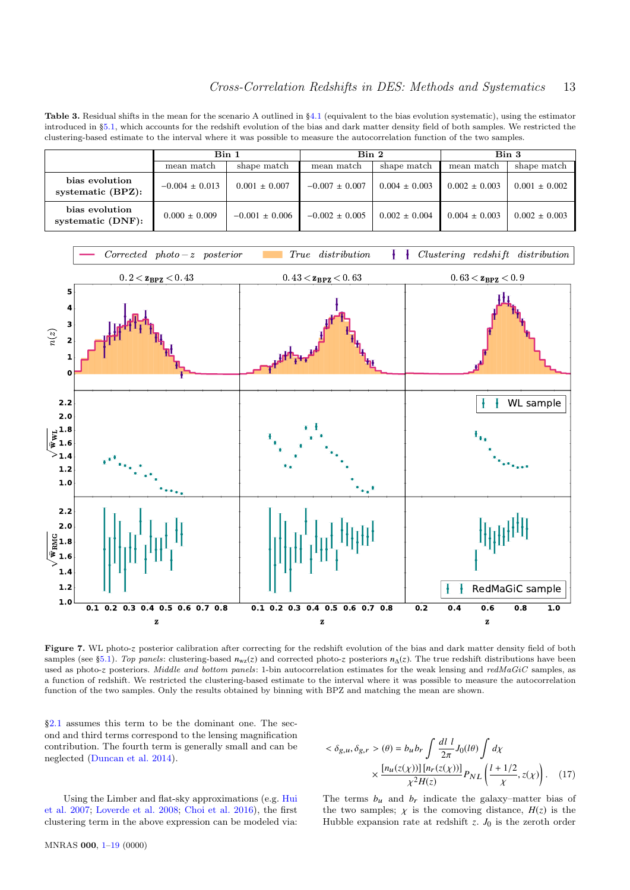Table 3. Residual shifts in the mean for the scenario A outlined in §4.1 (equivalent to the bias evolution systematic), using the estimator introduced in §5.1, which accounts for the redshift evolution of the bias and dark matter density field of both samples. We restricted the clustering-based estimate to the interval where it was possible to measure the autocorrelation function of the two samples.

|                                        | Bin 1              |                   | Bin 2              |                   | Bin 3             |                   |
|----------------------------------------|--------------------|-------------------|--------------------|-------------------|-------------------|-------------------|
|                                        | mean match         | shape match       | mean match         | shape match       | mean match        | shape match       |
| bias evolution<br>systematic $(BPZ)$ : | $-0.004 \pm 0.013$ | $0.001 \pm 0.007$ | $-0.007 \pm 0.007$ | $0.004 \pm 0.003$ | $0.002 \pm 0.003$ | $0.001 \pm 0.002$ |
| bias evolution<br>systematic $(DNF)$ : | $0.000 \pm 0.009$  | $-0.001 + 0.006$  | $-0.002 \pm 0.005$ | $0.002 \pm 0.004$ | $0.004 \pm 0.003$ | $0.002 \pm 0.003$ |



Figure 7. WL photo-z posterior calibration after correcting for the redshift evolution of the bias and dark matter density field of both samples (see §5.1). Top panels: clustering-based  $n_{wz}(z)$  and corrected photo-z posteriors  $n_{\Delta}(z)$ . The true redshift distributions have been used as photo-z posteriors. Middle and bottom panels: 1-bin autocorrelation estimates for the weak lensing and redMaGiC samples, as a function of redshift. We restricted the clustering-based estimate to the interval where it was possible to measure the autocorrelation function of the two samples. Only the results obtained by binning with BPZ and matching the mean are shown.

§2.1 assumes this term to be the dominant one. The second and third terms correspond to the lensing magnification contribution. The fourth term is generally small and can be neglected (Duncan et al. 2014).

$$
\langle \delta_{g,u}, \delta_{g,r} \rangle (\theta) = b_u b_r \int \frac{dl}{2\pi} J_0(l\theta) \int d\chi
$$

$$
\times \frac{[n_u(z(\chi))][n_r(z(\chi))]}{\chi^2 H(z)} P_{NL} \left( \frac{l+1/2}{\chi}, z(\chi) \right). \quad (17)
$$

Using the Limber and flat-sky approximations (e.g. Hui et al. 2007; Loverde et al. 2008; Choi et al. 2016), the first clustering term in the above expression can be modeled via: The terms  $b_u$  and  $b_r$  indicate the galaxy–matter bias of the two samples;  $\chi$  is the comoving distance,  $H(z)$  is the Hubble expansion rate at redshift *z*. *J*<sup>0</sup> is the zeroth order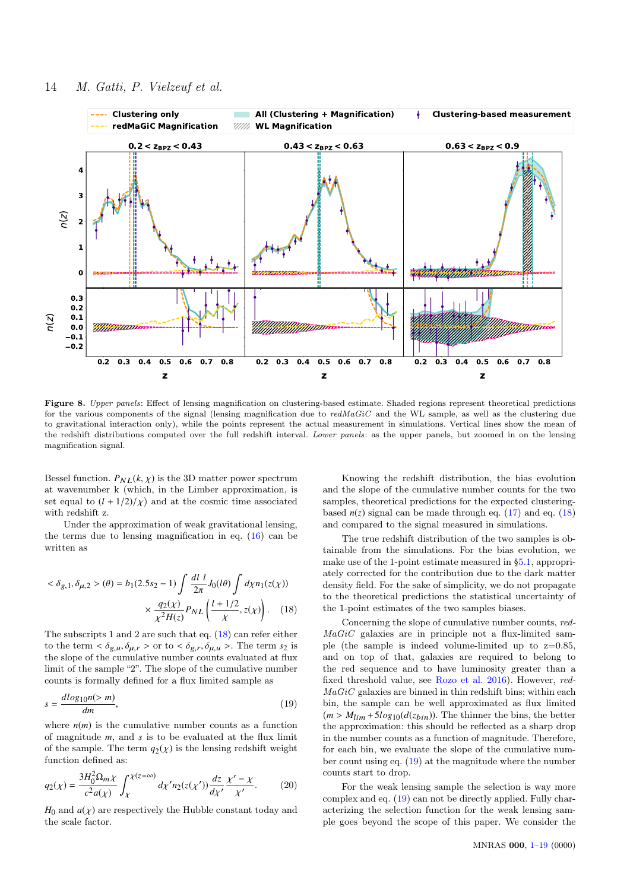

Figure 8. Upper panels: Effect of lensing magnification on clustering-based estimate. Shaded regions represent theoretical predictions for the various components of the signal (lensing magnification due to  $redMaGiC$  and the WL sample, as well as the clustering due to gravitational interaction only), while the points represent the actual measurement in simulations. Vertical lines show the mean of the redshift distributions computed over the full redshift interval. Lower panels: as the upper panels, but zoomed in on the lensing magnification signal.

Bessel function.  $P_{NL}(k, \chi)$  is the 3D matter power spectrum at wavenumber k (which, in the Limber approximation, is set equal to  $(l + 1/2)/\chi$  and at the cosmic time associated with redshift z.

Under the approximation of weak gravitational lensing, the terms due to lensing magnification in eq. (16) can be written as

$$
\langle \delta_{g,1}, \delta_{\mu,2} \rangle (\theta) = b_1 (2.5s_2 - 1) \int \frac{dl}{2\pi} J_0(l\theta) \int d\chi n_1(z(\chi))
$$

$$
\times \frac{q_2(\chi)}{\chi^2 H(z)} P_{NL} \left( \frac{l + 1/2}{\chi}, z(\chi) \right). \quad (18)
$$

The subscripts 1 and 2 are such that eq. (18) can refer either to the term  $\langle \delta_{g,u}, \delta_{\mu,r} \rangle$  or to  $\langle \delta_{g,r}, \delta_{\mu,u} \rangle$ . The term  $s_2$  is the slope of the cumulative number counts evaluated at flux limit of the sample "2". The slope of the cumulative number counts is formally defined for a flux limited sample as

$$
s = \frac{d \log_{10} n(> m)}{dm},\tag{19}
$$

where  $n(m)$  is the cumulative number counts as a function of magnitude *m*, and *s* is to be evaluated at the flux limit of the sample. The term  $q_2(\chi)$  is the lensing redshift weight function defined as:

$$
q_2(\chi) = \frac{3H_0^2 \Omega_m \chi}{c^2 a(\chi)} \int_{\chi}^{\chi(z=\infty)} d\chi' n_2(z(\chi')) \frac{dz}{d\chi'} \frac{\chi' - \chi}{\chi'}.
$$
 (20)

 $H_0$  and  $a(\chi)$  are respectively the Hubble constant today and the scale factor.

Knowing the redshift distribution, the bias evolution and the slope of the cumulative number counts for the two samples, theoretical predictions for the expected clusteringbased  $n(z)$  signal can be made through eq. (17) and eq. (18) and compared to the signal measured in simulations.

The true redshift distribution of the two samples is obtainable from the simulations. For the bias evolution, we make use of the 1-point estimate measured in §5.1, appropriately corrected for the contribution due to the dark matter density field. For the sake of simplicity, we do not propagate to the theoretical predictions the statistical uncertainty of the 1-point estimates of the two samples biases.

Concerning the slope of cumulative number counts, red- $MaGiC$  galaxies are in principle not a flux-limited sample (the sample is indeed volume-limited up to  $z=0.85$ , and on top of that, galaxies are required to belong to the red sequence and to have luminosity greater than a fixed threshold value, see Rozo et al. 2016). However, red- $MaGiC$  galaxies are binned in thin redshift bins; within each bin, the sample can be well approximated as flux limited  $(m > M_{lim} + 5log_{10}(d(z_{bin}))$ . The thinner the bins, the better the approximation: this should be reflected as a sharp drop in the number counts as a function of magnitude. Therefore, for each bin, we evaluate the slope of the cumulative number count using eq. (19) at the magnitude where the number counts start to drop.

For the weak lensing sample the selection is way more complex and eq. (19) can not be directly applied. Fully characterizing the selection function for the weak lensing sample goes beyond the scope of this paper. We consider the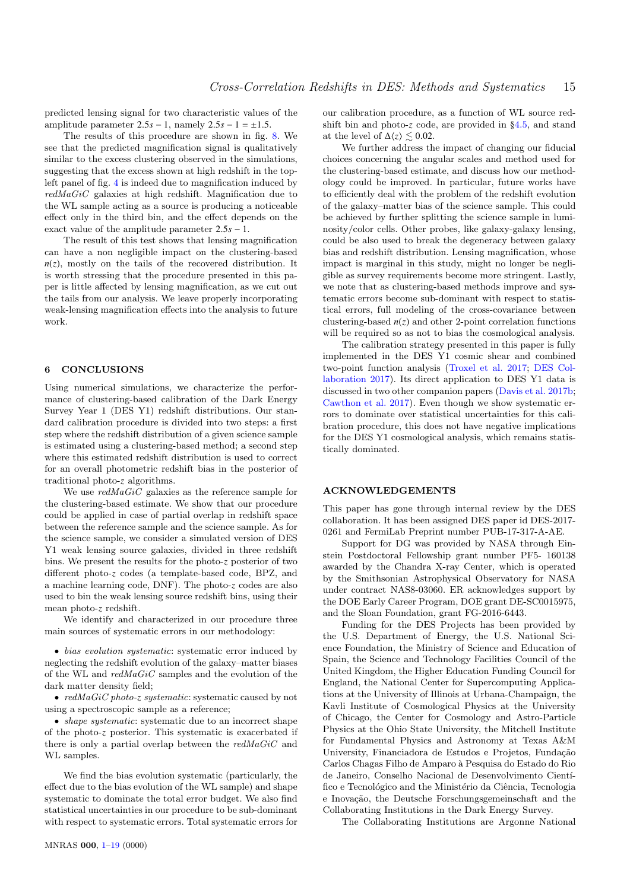predicted lensing signal for two characteristic values of the amplitude parameter  $2.5s - 1$ , namely  $2.5s - 1 = \pm 1.5$ .

The results of this procedure are shown in fig. 8. We see that the predicted magnification signal is qualitatively similar to the excess clustering observed in the simulations, suggesting that the excess shown at high redshift in the topleft panel of fig. 4 is indeed due to magnification induced by  $redMaGiC$  galaxies at high redshift. Magnification due to the WL sample acting as a source is producing a noticeable effect only in the third bin, and the effect depends on the exact value of the amplitude parameter <sup>2</sup>.5*<sup>s</sup>* <sup>−</sup> <sup>1</sup>.

The result of this test shows that lensing magnification can have a non negligible impact on the clustering-based  $n(z)$ , mostly on the tails of the recovered distribution. It is worth stressing that the procedure presented in this paper is little affected by lensing magnification, as we cut out the tails from our analysis. We leave properly incorporating weak-lensing magnification effects into the analysis to future work.

#### 6 CONCLUSIONS

Using numerical simulations, we characterize the performance of clustering-based calibration of the Dark Energy Survey Year 1 (DES Y1) redshift distributions. Our standard calibration procedure is divided into two steps: a first step where the redshift distribution of a given science sample is estimated using a clustering-based method; a second step where this estimated redshift distribution is used to correct for an overall photometric redshift bias in the posterior of traditional photo-*z* algorithms.

We use  $redMaGiC$  galaxies as the reference sample for the clustering-based estimate. We show that our procedure could be applied in case of partial overlap in redshift space between the reference sample and the science sample. As for the science sample, we consider a simulated version of DES Y1 weak lensing source galaxies, divided in three redshift bins. We present the results for the photo-*z* posterior of two different photo-*z* codes (a template-based code, BPZ, and a machine learning code, DNF). The photo-*z* codes are also used to bin the weak lensing source redshift bins, using their mean photo-*z* redshift.

We identify and characterized in our procedure three main sources of systematic errors in our methodology:

• bias evolution systematic: systematic error induced by neglecting the redshift evolution of the galaxy–matter biases of the WL and  $\mathit{redMaGiC}$  samples and the evolution of the dark matter density field;

• *redMaGiC photo-z systematic*: systematic caused by not using a spectroscopic sample as a reference;

• *shape systematic*: systematic due to an incorrect shape of the photo-*z* posterior. This systematic is exacerbated if there is only a partial overlap between the  $redMaGiC$  and WL samples.

We find the bias evolution systematic (particularly, the effect due to the bias evolution of the WL sample) and shape systematic to dominate the total error budget. We also find statistical uncertainties in our procedure to be sub-dominant with respect to systematic errors. Total systematic errors for

our calibration procedure, as a function of WL source redshift bin and photo-*z* code, are provided in §4.5, and stand at the level of  $\Delta\langle z \rangle \leq 0.02$ .

We further address the impact of changing our fiducial choices concerning the angular scales and method used for the clustering-based estimate, and discuss how our methodology could be improved. In particular, future works have to efficiently deal with the problem of the redshift evolution of the galaxy–matter bias of the science sample. This could be achieved by further splitting the science sample in luminosity/color cells. Other probes, like galaxy-galaxy lensing, could be also used to break the degeneracy between galaxy bias and redshift distribution. Lensing magnification, whose impact is marginal in this study, might no longer be negligible as survey requirements become more stringent. Lastly, we note that as clustering-based methods improve and systematic errors become sub-dominant with respect to statistical errors, full modeling of the cross-covariance between clustering-based  $n(z)$  and other 2-point correlation functions will be required so as not to bias the cosmological analysis.

The calibration strategy presented in this paper is fully implemented in the DES Y1 cosmic shear and combined two-point function analysis (Troxel et al. 2017; DES Collaboration 2017). Its direct application to DES Y1 data is discussed in two other companion papers (Davis et al. 2017b; Cawthon et al. 2017). Even though we show systematic errors to dominate over statistical uncertainties for this calibration procedure, this does not have negative implications for the DES Y1 cosmological analysis, which remains statistically dominated.

# ACKNOWLEDGEMENTS

This paper has gone through internal review by the DES collaboration. It has been assigned DES paper id DES-2017- 0261 and FermiLab Preprint number PUB-17-317-A-AE.

Support for DG was provided by NASA through Einstein Postdoctoral Fellowship grant number PF5- 160138 awarded by the Chandra X-ray Center, which is operated by the Smithsonian Astrophysical Observatory for NASA under contract NAS8-03060. ER acknowledges support by the DOE Early Career Program, DOE grant DE-SC0015975, and the Sloan Foundation, grant FG-2016-6443.

Funding for the DES Projects has been provided by the U.S. Department of Energy, the U.S. National Science Foundation, the Ministry of Science and Education of Spain, the Science and Technology Facilities Council of the United Kingdom, the Higher Education Funding Council for England, the National Center for Supercomputing Applications at the University of Illinois at Urbana-Champaign, the Kavli Institute of Cosmological Physics at the University of Chicago, the Center for Cosmology and Astro-Particle Physics at the Ohio State University, the Mitchell Institute for Fundamental Physics and Astronomy at Texas A&M University, Financiadora de Estudos e Projetos, Fundação Carlos Chagas Filho de Amparo à Pesquisa do Estado do Rio de Janeiro, Conselho Nacional de Desenvolvimento Científico e Tecnológico and the Ministério da Ciência, Tecnologia e Inovação, the Deutsche Forschungsgemeinschaft and the Collaborating Institutions in the Dark Energy Survey.

The Collaborating Institutions are Argonne National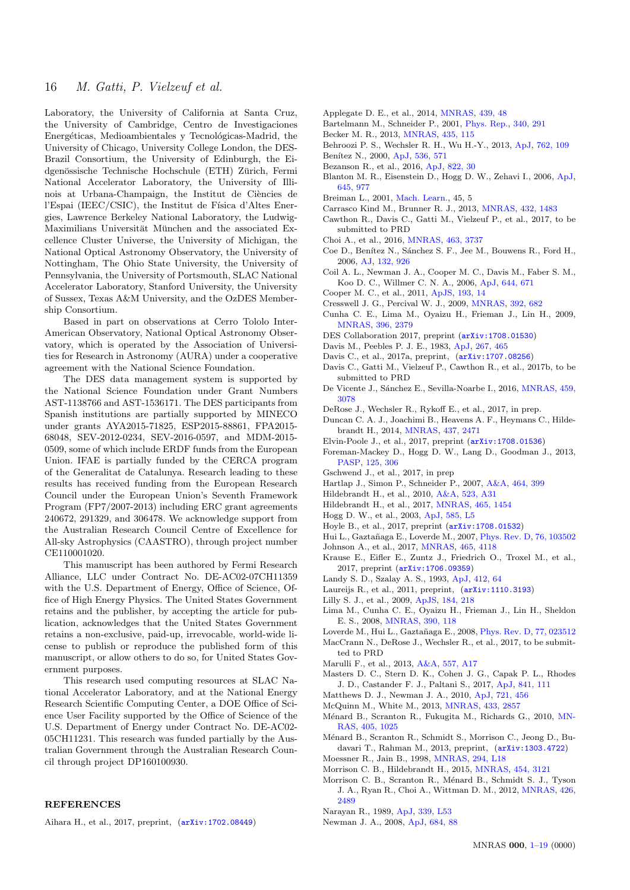Laboratory, the University of California at Santa Cruz, the University of Cambridge, Centro de Investigaciones Energéticas, Medioambientales y Tecnológicas-Madrid, the University of Chicago, University College London, the DES-Brazil Consortium, the University of Edinburgh, the Eidgenössische Technische Hochschule (ETH) Zürich, Fermi National Accelerator Laboratory, the University of Illinois at Urbana-Champaign, the Institut de Ciències de l'Espai (IEEC/CSIC), the Institut de Física d'Altes Energies, Lawrence Berkeley National Laboratory, the Ludwig-Maximilians Universität München and the associated Excellence Cluster Universe, the University of Michigan, the National Optical Astronomy Observatory, the University of Nottingham, The Ohio State University, the University of Pennsylvania, the University of Portsmouth, SLAC National Accelerator Laboratory, Stanford University, the University of Sussex, Texas A&M University, and the OzDES Membership Consortium.

Based in part on observations at Cerro Tololo Inter-American Observatory, National Optical Astronomy Observatory, which is operated by the Association of Universities for Research in Astronomy (AURA) under a cooperative agreement with the National Science Foundation.

The DES data management system is supported by the National Science Foundation under Grant Numbers AST-1138766 and AST-1536171. The DES participants from Spanish institutions are partially supported by MINECO under grants AYA2015-71825, ESP2015-88861, FPA2015- 68048, SEV-2012-0234, SEV-2016-0597, and MDM-2015- 0509, some of which include ERDF funds from the European Union. IFAE is partially funded by the CERCA program of the Generalitat de Catalunya. Research leading to these results has received funding from the European Research Council under the European Union's Seventh Framework Program (FP7/2007-2013) including ERC grant agreements 240672, 291329, and 306478. We acknowledge support from the Australian Research Council Centre of Excellence for All-sky Astrophysics (CAASTRO), through project number CE110001020.

This manuscript has been authored by Fermi Research Alliance, LLC under Contract No. DE-AC02-07CH11359 with the U.S. Department of Energy, Office of Science, Office of High Energy Physics. The United States Government retains and the publisher, by accepting the article for publication, acknowledges that the United States Government retains a non-exclusive, paid-up, irrevocable, world-wide license to publish or reproduce the published form of this manuscript, or allow others to do so, for United States Government purposes.

This research used computing resources at SLAC National Accelerator Laboratory, and at the National Energy Research Scientific Computing Center, a DOE Office of Science User Facility supported by the Office of Science of the U.S. Department of Energy under Contract No. DE-AC02- 05CH11231. This research was funded partially by the Australian Government through the Australian Research Council through project DP160100930.

# **REFERENCES**

Aihara H., et al., 2017, preprint, ([arXiv:1702.08449](http://arxiv.org/abs/1702.08449))

- Applegate D. E., et al., 2014, [MNRAS,](http://dx.doi.org/10.1093/mnras/stt2129) [439, 48](http://adsabs.harvard.edu/abs/2014MNRAS.439...48A)
- Bartelmann M., Schneider P., 2001, [Phys. Rep.,](http://dx.doi.org/10.1016/S0370-1573(00)00082-X) [340, 291](http://adsabs.harvard.edu/abs/2001PhR...340..291B)
- Becker M. R., 2013, [MNRAS,](http://dx.doi.org/10.1093/mnras/stt1352) [435, 115](http://adsabs.harvard.edu/abs/2013MNRAS.435..115B)
- Behroozi P. S., Wechsler R. H., Wu H.-Y., 2013, [ApJ,](http://dx.doi.org/10.1088/0004-637X/762/2/109) [762, 109](http://adsabs.harvard.edu/abs/2013ApJ...762..109B)
- Benítez N., 2000, [ApJ,](http://dx.doi.org/10.1086/308947) [536, 571](http://adsabs.harvard.edu/abs/2000ApJ...536..571B)
- Bezanson R., et al., 2016, [ApJ,](http://dx.doi.org/10.3847/0004-637X/822/1/30) [822, 30](http://adsabs.harvard.edu/abs/2016ApJ...822...30B)
- Blanton M. R., Eisenstein D., Hogg D. W., Zehavi I., 2006, [ApJ,](http://dx.doi.org/10.1086/500918) [645, 977](http://adsabs.harvard.edu/abs/2006ApJ...645..977B)
- Breiman L., 2001, [Mach. Learn.,](http://dx.doi.org/10.1023/A:1010933404324) 45, 5
- Carrasco Kind M., Brunner R. J., 2013, [MNRAS,](http://dx.doi.org/10.1093/mnras/stt574) [432, 1483](http://adsabs.harvard.edu/abs/2013MNRAS.432.1483C)
- Cawthon R., Davis C., Gatti M., Vielzeuf P., et al., 2017, to be submitted to PRD
- Choi A., et al., 2016, [MNRAS,](http://dx.doi.org/10.1093/mnras/stw2241) [463, 3737](http://adsabs.harvard.edu/abs/2016MNRAS.463.3737C)
- Coe D., Benítez N., Sánchez S. F., Jee M., Bouwens R., Ford H., 2006, [AJ,](http://dx.doi.org/10.1086/505530) [132, 926](http://adsabs.harvard.edu/abs/2006AJ....132..926C)
- Coil A. L., Newman J. A., Cooper M. C., Davis M., Faber S. M., Koo D. C., Willmer C. N. A., 2006, [ApJ,](http://dx.doi.org/10.1086/503601) [644, 671](http://adsabs.harvard.edu/abs/2006ApJ...644..671C)
- Cooper M. C., et al., 2011, [ApJS,](http://dx.doi.org/10.1088/0067-0049/193/1/14) [193, 14](http://adsabs.harvard.edu/abs/2011ApJS..193...14C)
- Cresswell J. G., Percival W. J., 2009, [MNRAS,](http://dx.doi.org/10.1111/j.1365-2966.2008.14082.x) [392, 682](http://adsabs.harvard.edu/abs/2009MNRAS.392..682C)
- Cunha C. E., Lima M., Oyaizu H., Frieman J., Lin H., 2009, [MNRAS,](http://dx.doi.org/10.1111/j.1365-2966.2009.14908.x) [396, 2379](http://adsabs.harvard.edu/abs/2009MNRAS.396.2379C)
- DES Collaboration 2017, preprint ([arXiv:1708.01530](http://arxiv.org/abs/1708.01530))
- Davis M., Peebles P. J. E., 1983, [ApJ,](http://dx.doi.org/10.1086/160884) [267, 465](http://adsabs.harvard.edu/abs/1983ApJ...267..465D)
- Davis C., et al., 2017a, preprint, ([arXiv:1707.08256](http://arxiv.org/abs/1707.08256))
- Davis C., Gatti M., Vielzeuf P., Cawthon R., et al., 2017b, to be submitted to PRD
- De Vicente J., Sánchez E., Sevilla-Noarbe I., 2016, [MNRAS,](http://dx.doi.org/10.1093/mnras/stw857) [459,](http://adsabs.harvard.edu/abs/2016MNRAS.459.3078D) [3078](http://adsabs.harvard.edu/abs/2016MNRAS.459.3078D)
- DeRose J., Wechsler R., Rykoff E., et al., 2017, in prep.
- Duncan C. A. J., Joachimi B., Heavens A. F., Heymans C., Hildebrandt H., 2014, [MNRAS,](http://dx.doi.org/10.1093/mnras/stt2060) [437, 2471](http://adsabs.harvard.edu/abs/2014MNRAS.437.2471D)
- Elvin-Poole J., et al., 2017, preprint ([arXiv:1708.01536](http://arxiv.org/abs/1708.01536))
- Foreman-Mackey D., Hogg D. W., Lang D., Goodman J., 2013, [PASP,](http://dx.doi.org/10.1086/670067) [125, 306](http://adsabs.harvard.edu/abs/2013PASP..125..306F)
- Gschwend J., et al., 2017, in prep
- Hartlap J., Simon P., Schneider P., 2007, [A&A,](http://dx.doi.org/10.1051/0004-6361:20066170) [464, 399](http://adsabs.harvard.edu/abs/2007A%26A...464..399H)
- Hildebrandt H., et al., 2010, [A&A,](http://dx.doi.org/10.1051/0004-6361/201014885) [523, A31](http://adsabs.harvard.edu/abs/2010A%26A...523A..31H)
- Hildebrandt H., et al., 2017, [MNRAS,](http://dx.doi.org/10.1093/mnras/stw2805) [465, 1454](http://adsabs.harvard.edu/abs/2017MNRAS.465.1454H)
- Hogg D. W., et al., 2003, [ApJ,](http://dx.doi.org/10.1086/374238) [585, L5](http://adsabs.harvard.edu/abs/2003ApJ...585L...5H)
- Hoyle B., et al., 2017, preprint ([arXiv:1708.01532](http://arxiv.org/abs/1708.01532))
- Hui L., Gaztañaga E., Loverde M., 2007, *[Phys. Rev. D,](http://dx.doi.org/10.1103/PhysRevD.76.103502) [76, 103502](http://adsabs.harvard.edu/abs/2007PhRvD..76j3502H)*
- Johnson A., et al., 2017, [MNRAS,](http://dx.doi.org/10.1093/mnras/stw3033) [465, 4118](http://adsabs.harvard.edu/abs/2017MNRAS.465.4118J)
- Krause E., Eifler E., Zuntz J., Friedrich O., Troxel M., et al., 2017, preprint ([arXiv:1706.09359](http://arxiv.org/abs/1706.09359))
- Landy S. D., Szalay A. S., 1993, [ApJ,](http://dx.doi.org/10.1086/172900) [412, 64](http://adsabs.harvard.edu/abs/1993ApJ...412...64L)
- Laureijs R., et al., 2011, preprint, ([arXiv:1110.3193](http://arxiv.org/abs/1110.3193))
	- Lilly S. J., et al., 2009, [ApJS,](http://dx.doi.org/10.1088/0067-0049/184/2/218) [184, 218](http://adsabs.harvard.edu/abs/2009ApJS..184..218L)
	- Lima M., Cunha C. E., Oyaizu H., Frieman J., Lin H., Sheldon E. S., 2008, [MNRAS,](http://dx.doi.org/10.1111/j.1365-2966.2008.13510.x) [390, 118](http://adsabs.harvard.edu/abs/2008MNRAS.390..118L)
- Loverde M., Hui L., Gaztañaga E., 2008, [Phys. Rev. D,](http://dx.doi.org/10.1103/PhysRevD.77.023512) [77, 023512](http://adsabs.harvard.edu/abs/2008PhRvD..77b3512L)
- MacCrann N., DeRose J., Wechsler R., et al., 2017, to be submitted to PRD
- Marulli F., et al., 2013, [A&A,](http://dx.doi.org/10.1051/0004-6361/201321476) [557, A17](http://adsabs.harvard.edu/abs/2013A%26A...557A..17M)
- Masters D. C., Stern D. K., Cohen J. G., Capak P. L., Rhodes J. D., Castander F. J., Paltani S., 2017, [ApJ,](http://dx.doi.org/10.3847/1538-4357/aa6f08) [841, 111](http://adsabs.harvard.edu/abs/2017ApJ...841..111M)
- Matthews D. J., Newman J. A., 2010, [ApJ,](http://dx.doi.org/10.1088/0004-637X/721/1/456) [721, 456](http://adsabs.harvard.edu/abs/2010ApJ...721..456M)
- McQuinn M., White M., 2013, [MNRAS,](http://dx.doi.org/10.1093/mnras/stt914) [433, 2857](http://adsabs.harvard.edu/abs/2013MNRAS.433.2857M)
- Ménard B., Scranton R., Fukugita M., Richards G., 2010, [MN-](http://dx.doi.org/10.1111/j.1365-2966.2010.16486.x)[RAS,](http://dx.doi.org/10.1111/j.1365-2966.2010.16486.x) [405, 1025](http://adsabs.harvard.edu/abs/2010MNRAS.405.1025M)
- Ménard B., Scranton R., Schmidt S., Morrison C., Jeong D., Budavari T., Rahman M., 2013, preprint, ([arXiv:1303.4722](http://arxiv.org/abs/1303.4722))
- Moessner R., Jain B., 1998, [MNRAS,](http://dx.doi.org/10.1046/j.1365-8711.1998.01378.x) [294, L18](http://adsabs.harvard.edu/abs/1998MNRAS.294L..18M)
- Morrison C. B., Hildebrandt H., 2015, [MNRAS,](http://dx.doi.org/10.1093/mnras/stv2103) [454, 3121](http://adsabs.harvard.edu/abs/2015MNRAS.454.3121M)
- Morrison C. B., Scranton R., Ménard B., Schmidt S. J., Tyson J. A., Ryan R., Choi A., Wittman D. M., 2012, [MNRAS,](http://dx.doi.org/10.1111/j.1365-2966.2012.21826.x) [426,](http://adsabs.harvard.edu/abs/2012MNRAS.426.2489M) [2489](http://adsabs.harvard.edu/abs/2012MNRAS.426.2489M)
- Narayan R., 1989, [ApJ,](http://dx.doi.org/10.1086/185418) [339, L53](http://adsabs.harvard.edu/abs/1989ApJ...339L..53N)
- Newman J. A., 2008, [ApJ,](http://dx.doi.org/10.1086/589982) [684, 88](http://adsabs.harvard.edu/abs/2008ApJ...684...88N)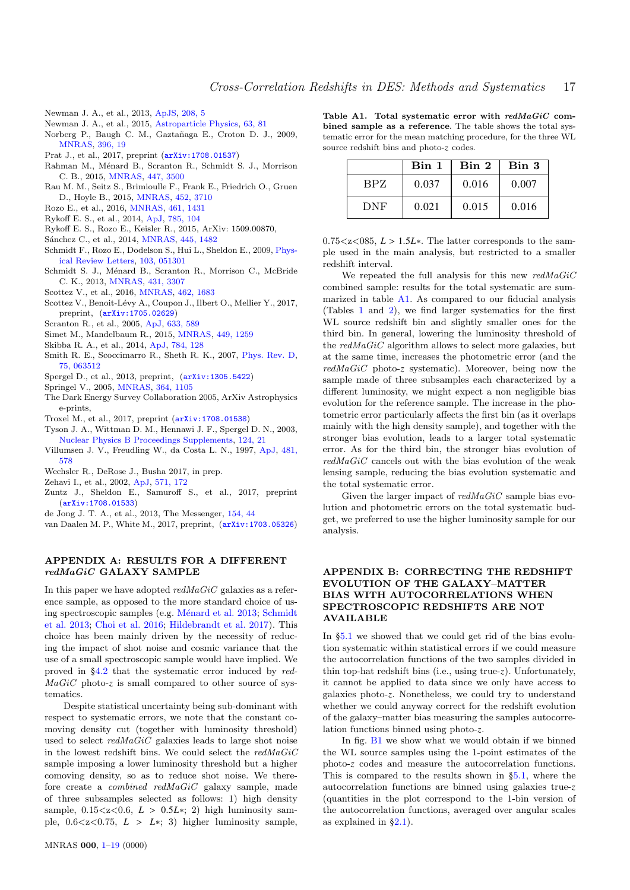- Newman J. A., et al., 2013, [ApJS,](http://dx.doi.org/10.1088/0067-0049/208/1/5) [208, 5](http://adsabs.harvard.edu/abs/2013ApJS..208....5N)
- Newman J. A., et al., 2015, [Astroparticle Physics,](http://dx.doi.org/10.1016/j.astropartphys.2014.06.007) [63, 81](http://adsabs.harvard.edu/abs/2015APh....63...81N)
- Norberg P., Baugh C. M., Gaztañaga E., Croton D. J., 2009, [MNRAS,](http://dx.doi.org/10.1111/j.1365-2966.2009.14389.x) [396, 19](http://adsabs.harvard.edu/abs/2009MNRAS.396...19N)
- Prat J., et al., 2017, preprint ([arXiv:1708.01537](http://arxiv.org/abs/1708.01537))
- Rahman M., Ménard B., Scranton R., Schmidt S. J., Morrison C. B., 2015, [MNRAS,](http://dx.doi.org/10.1093/mnras/stu2636) [447, 3500](http://adsabs.harvard.edu/abs/2015MNRAS.447.3500R)
- Rau M. M., Seitz S., Brimioulle F., Frank E., Friedrich O., Gruen D., Hoyle B., 2015, [MNRAS,](http://dx.doi.org/10.1093/mnras/stv1567) [452, 3710](http://adsabs.harvard.edu/abs/2015MNRAS.452.3710R)
- Rozo E., et al., 2016, [MNRAS,](http://dx.doi.org/10.1093/mnras/stw1281) [461, 1431](http://adsabs.harvard.edu/abs/2016MNRAS.461.1431R)
- Rykoff E. S., et al., 2014, [ApJ,](http://dx.doi.org/10.1088/0004-637X/785/2/104) [785, 104](http://adsabs.harvard.edu/abs/2014ApJ...785..104R)
- Rykoff E. S., Rozo E., Keisler R., 2015, ArXiv: 1509.00870,
- Sánchez C., et al., 2014, *MNRAS*, [445, 1482](http://adsabs.harvard.edu/abs/2014MNRAS.445.1482S)
- Schmidt F., Rozo E., Dodelson S., Hui L., Sheldon E., 2009, [Phys](http://dx.doi.org/10.1103/PhysRevLett.103.051301)[ical Review Letters,](http://dx.doi.org/10.1103/PhysRevLett.103.051301) [103, 051301](http://adsabs.harvard.edu/abs/2009PhRvL.103e1301S)
- Schmidt S. J., Ménard B., Scranton R., Morrison C., McBride C. K., 2013, [MNRAS,](http://dx.doi.org/10.1093/mnras/stt410) [431, 3307](http://adsabs.harvard.edu/abs/2013MNRAS.431.3307S)
- Scottez V., et al., 2016, [MNRAS,](http://dx.doi.org/10.1093/mnras/stw1500) [462, 1683](http://adsabs.harvard.edu/abs/2016MNRAS.462.1683S)
- Scottez V., Benoit-Lévy A., Coupon J., Ilbert O., Mellier Y., 2017, preprint, ([arXiv:1705.02629](http://arxiv.org/abs/1705.02629))
- Scranton R., et al., 2005, [ApJ,](http://dx.doi.org/10.1086/431358) [633, 589](http://adsabs.harvard.edu/abs/2005ApJ...633..589S)
- Simet M., Mandelbaum R., 2015, [MNRAS,](http://dx.doi.org/10.1093/mnras/stv313) [449, 1259](http://adsabs.harvard.edu/abs/2015MNRAS.449.1259S)
- Skibba R. A., et al., 2014, [ApJ,](http://dx.doi.org/10.1088/0004-637X/784/2/128) [784, 128](http://adsabs.harvard.edu/abs/2014ApJ...784..128S)
- Smith R. E., Scoccimarro R., Sheth R. K., 2007, [Phys. Rev. D,](http://dx.doi.org/10.1103/PhysRevD.75.063512) [75, 063512](http://adsabs.harvard.edu/abs/2007PhRvD..75f3512S)
- Spergel D., et al., 2013, preprint, ([arXiv:1305.5422](http://arxiv.org/abs/1305.5422))
- Springel V., 2005, [MNRAS,](http://dx.doi.org/10.1111/j.1365-2966.2005.09655.x) [364, 1105](http://adsabs.harvard.edu/abs/2005MNRAS.364.1105S)
- The Dark Energy Survey Collaboration 2005, ArXiv Astrophysics e-prints,
- Troxel M., et al., 2017, preprint ([arXiv:1708.01538](http://arxiv.org/abs/1708.01538))
- Tyson J. A., Wittman D. M., Hennawi J. F., Spergel D. N., 2003, [Nuclear Physics B Proceedings Supplements,](http://dx.doi.org/10.1016/S0920-5632(03)02073-5) [124, 21](http://adsabs.harvard.edu/abs/2003NuPhS.124...21T)
- Villumsen J. V., Freudling W., da Costa L. N., 1997, [ApJ,](http://dx.doi.org/10.1086/304072) [481,](http://adsabs.harvard.edu/abs/1997ApJ...481..578V) [578](http://adsabs.harvard.edu/abs/1997ApJ...481..578V)
- Wechsler R., DeRose J., Busha 2017, in prep.
- Zehavi I., et al., 2002, [ApJ,](http://dx.doi.org/10.1086/339893) [571, 172](http://adsabs.harvard.edu/abs/2002ApJ...571..172Z)
- Zuntz J., Sheldon E., Samuroff S., et al., 2017, preprint ([arXiv:1708.01533](http://arxiv.org/abs/1708.01533))
- de Jong J. T. A., et al., 2013, The Messenger, [154, 44](http://adsabs.harvard.edu/abs/2013Msngr.154...44J)
- van Daalen M. P., White M., 2017, preprint, ([arXiv:1703.05326](http://arxiv.org/abs/1703.05326))

# APPENDIX A: RESULTS FOR A DIFFERENT redMaGiC GALAXY SAMPLE

In this paper we have adopted  $redMaGiC$  galaxies as a reference sample, as opposed to the more standard choice of using spectroscopic samples (e.g. Ménard et al. 2013; Schmidt et al. 2013; Choi et al. 2016; Hildebrandt et al. 2017). This choice has been mainly driven by the necessity of reducing the impact of shot noise and cosmic variance that the use of a small spectroscopic sample would have implied. We proved in §4.2 that the systematic error induced by red- $MaGiC$  photo-*z* is small compared to other source of systematics.

Despite statistical uncertainty being sub-dominant with respect to systematic errors, we note that the constant comoving density cut (together with luminosity threshold) used to select redMaGiC galaxies leads to large shot noise in the lowest redshift bins. We could select the  $redMaGiC$ sample imposing a lower luminosity threshold but a higher comoving density, so as to reduce shot noise. We therefore create a combined redMaGiC galaxy sample, made of three subsamples selected as follows: 1) high density sample,  $0.15 \le z \le 0.6$ ,  $L > 0.5L*$ ; 2) high luminosity sample,  $0.6 \le z \le 0.75$ ,  $L > L$ <sup>\*</sup>; 3) higher luminosity sample,

Table A1. Total systematic error with redMaGiC combined sample as a reference. The table shows the total systematic error for the mean matching procedure, for the three WL source redshift bins and photo-z codes.

|      | Bin 1 | Bin 2 | Bin 3 |
|------|-------|-------|-------|
| BPZ. | 0.037 | 0.016 | 0.007 |
| DNF  | 0.021 | 0.015 | 0.016 |

0.75 $\langle z \rangle$ (0.75 $\langle z \rangle$  = 1.5*L*<sup>\*</sup>. The latter corresponds to the sample used in the main analysis, but restricted to a smaller redshift interval.

We repeated the full analysis for this new  $redMaGiC$ combined sample: results for the total systematic are summarized in table A1. As compared to our fiducial analysis (Tables 1 and 2), we find larger systematics for the first WL source redshift bin and slightly smaller ones for the third bin. In general, lowering the luminosity threshold of the  $redMaGiC$  algorithm allows to select more galaxies, but at the same time, increases the photometric error (and the redMaGiC photo-*z* systematic). Moreover, being now the sample made of three subsamples each characterized by a different luminosity, we might expect a non negligible bias evolution for the reference sample. The increase in the photometric error particularly affects the first bin (as it overlaps mainly with the high density sample), and together with the stronger bias evolution, leads to a larger total systematic error. As for the third bin, the stronger bias evolution of redMaGiC cancels out with the bias evolution of the weak lensing sample, reducing the bias evolution systematic and the total systematic error.

Given the larger impact of  $redMaGiC$  sample bias evolution and photometric errors on the total systematic budget, we preferred to use the higher luminosity sample for our analysis.

# APPENDIX B: CORRECTING THE REDSHIFT EVOLUTION OF THE GALAXY–MATTER BIAS WITH AUTOCORRELATIONS WHEN SPECTROSCOPIC REDSHIFTS ARE NOT AVAILABLE

In §5.1 we showed that we could get rid of the bias evolution systematic within statistical errors if we could measure the autocorrelation functions of the two samples divided in thin top-hat redshift bins (i.e., using true-*z*). Unfortunately, it cannot be applied to data since we only have access to galaxies photo-*z*. Nonetheless, we could try to understand whether we could anyway correct for the redshift evolution of the galaxy–matter bias measuring the samples autocorrelation functions binned using photo-*z*.

In fig. B1 we show what we would obtain if we binned the WL source samples using the 1-point estimates of the photo-*z* codes and measure the autocorrelation functions. This is compared to the results shown in §5.1, where the autocorrelation functions are binned using galaxies true-*z* (quantities in the plot correspond to the 1-bin version of the autocorrelation functions, averaged over angular scales as explained in §2.1).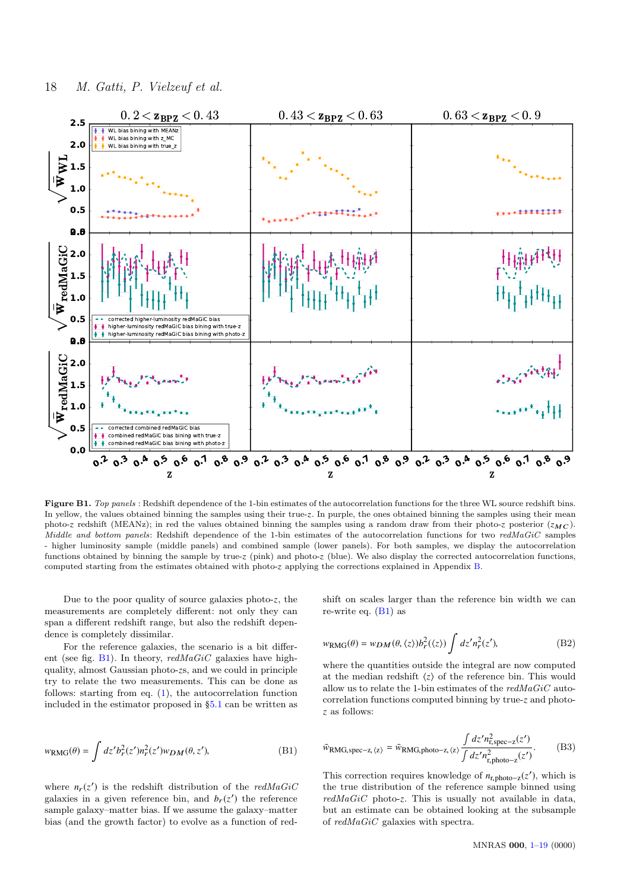

Figure B1. Top panels : Redshift dependence of the 1-bin estimates of the autocorrelation functions for the three WL source redshift bins. In yellow, the values obtained binning the samples using their true-z. In purple, the ones obtained binning the samples using their mean photo-z redshift (MEANz); in red the values obtained binning the samples using a random draw from their photo-z posterior  $(z_{MC})$ . Middle and bottom panels: Redshift dependence of the 1-bin estimates of the autocorrelation functions for two redMaGiC samples - higher luminosity sample (middle panels) and combined sample (lower panels). For both samples, we display the autocorrelation functions obtained by binning the sample by true-z (pink) and photo-z (blue). We also display the corrected autocorrelation functions, computed starting from the estimates obtained with photo-z applying the corrections explained in Appendix B.

Due to the poor quality of source galaxies photo-*z*, the measurements are completely different: not only they can span a different redshift range, but also the redshift dependence is completely dissimilar.

For the reference galaxies, the scenario is a bit different (see fig.  $B1$ ). In theory, redMaGiC galaxies have highquality, almost Gaussian photo-*z*s, and we could in principle try to relate the two measurements. This can be done as follows: starting from eq. (1), the autocorrelation function included in the estimator proposed in §5.1 can be written as

$$
w_{\text{RMG}}(\theta) = \int dz' b_r^2(z') n_r^2(z') w_{DM}(\theta, z'), \tag{B1}
$$

where  $n_r(z')$  is the redshift distribution of the redMaGiC galaxies in a given reference bin, and  $b_r(z')$  the reference sample galaxy–matter bias. If we assume the galaxy–matter bias (and the growth factor) to evolve as a function of redshift on scales larger than the reference bin width we can re-write eq.  $(B1)$  as

$$
w_{\text{RMG}}(\theta) = w_{DM}(\theta, \langle z \rangle) b_r^2(\langle z \rangle) \int dz' n_r^2(z'), \tag{B2}
$$

where the quantities outside the integral are now computed at the median redshift  $\langle z \rangle$  of the reference bin. This would allow us to relate the 1-bin estimates of the  $redMaGiC$  autocorrelation functions computed binning by true-*z* and photo*z* as follows:

$$
\bar{w}_{\text{RMG,spec-z}}(z) = \bar{w}_{\text{RMG,photo-z}}(z) \frac{\int dz' n_{\text{r,spec-z}}^2(z')}{\int dz' n_{\text{r,photo-z}}^2(z')}.
$$
(B3)

This correction requires knowledge of  $n_{\text{r,photo}-z}(z')$ , which is<br>the true distribution of the reference sample binned using the true distribution of the reference sample binned using redMaGiC photo-*z*. This is usually not available in data, but an estimate can be obtained looking at the subsample of redMaGiC galaxies with spectra.